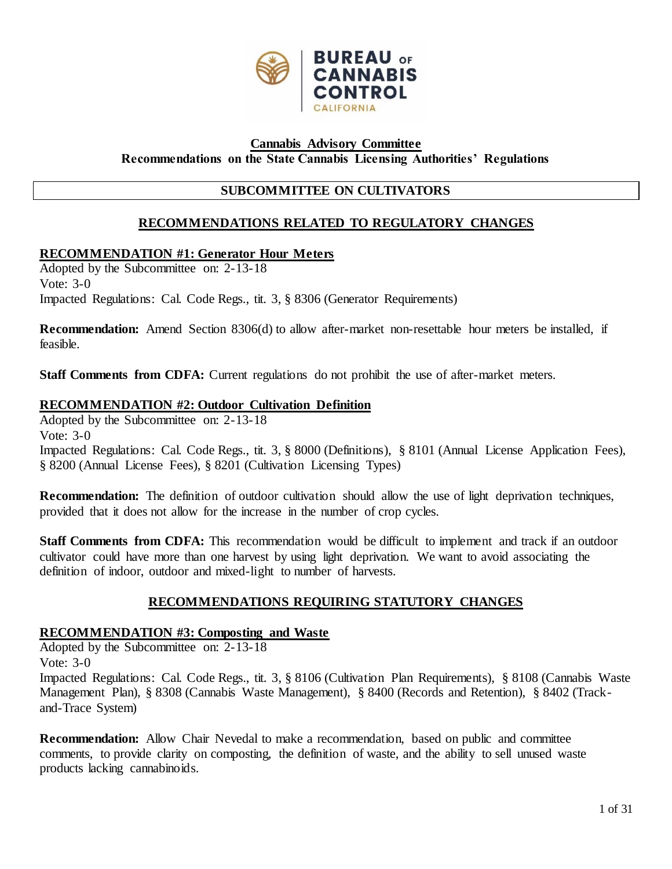

#### **Recommendations on the State Cannabis Licensing Authorities' Regulations Cannabis Advisory Committee**

# **SUBCOMMITTEE ON CULTIVATORS**

# **RECOMMENDATIONS RELATED TO REGULATORY CHANGES**

# **RECOMMENDATION #1: Generator Hour Meters**

 Adopted by the Subcommittee on: 2-13-18 Vote: 3-0 Impacted Regulations: Cal. Code Regs., tit. 3, § 8306 (Generator Requirements)

 **Recommendation:** Amend Section 8306(d) to allow after-market non-resettable hour meters be installed, if feasible.

Staff Comments from CDFA: Current regulations do not prohibit the use of after-market meters.

# **RECOMMENDATION #2: Outdoor Cultivation Definition**

 Adopted by the Subcommittee on: 2-13-18 Impacted Regulations: Cal. Code Regs., tit. 3, § 8000 (Definitions), § 8101 (Annual License Application Fees), § 8200 (Annual License Fees), § 8201 (Cultivation Licensing Types) Vote: 3-0

 **Recommendation:** The definition of outdoor cultivation should allow the use of light deprivation techniques, provided that it does not allow for the increase in the number of crop cycles.

Staff Comments from CDFA: This recommendation would be difficult to implement and track if an outdoor cultivator could have more than one harvest by using light deprivation. We want to avoid associating the definition of indoor, outdoor and mixed-light to number of harvests.

# **RECOMMENDATIONS REQUIRING STATUTORY CHANGES**

### **RECOMMENDATION #3: Composting and Waste**

 Adopted by the Subcommittee on: 2-13-18 Impacted Regulations: Cal. Code Regs., tit. 3, § 8106 (Cultivation Plan Requirements), § 8108 (Cannabis Waste Management Plan), § 8308 (Cannabis Waste Management), § 8400 (Records and Retention), § 8402 (Track-Vote: 3-0 and-Trace System)

 **Recommendation:** Allow Chair Nevedal to make a recommendation, based on public and committee comments, to provide clarity on composting, the definition of waste, and the ability to sell unused waste products lacking cannabinoids.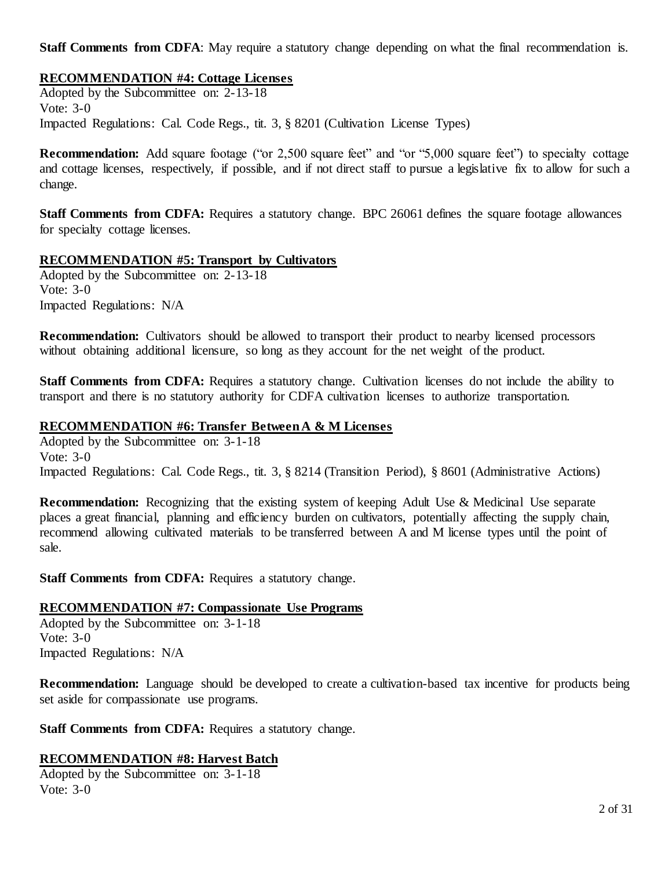**Staff Comments from CDFA**: May require a statutory change depending on what the final recommendation is.

# **RECOMMENDATION #4: Cottage Licenses**

 Adopted by the Subcommittee on: 2-13-18 Impacted Regulations: Cal. Code Regs., tit. 3, § 8201 (Cultivation License Types) Vote: 3-0

**Recommendation:** Add square footage ("or 2,500 square feet" and "or "5,000 square feet") to specialty cottage and cottage licenses, respectively, if possible, and if not direct staff to pursue a legislative fix to allow for such a change.

Staff Comments from CDFA: Requires a statutory change. BPC 26061 defines the square footage allowances for specialty cottage licenses.

### **RECOMMENDATION #5: Transport by Cultivators**

 Adopted by the Subcommittee on: 2-13-18 Vote: 3-0 Impacted Regulations: N/A

 **Recommendation:** Cultivators should be allowed to transport their product to nearby licensed processors without obtaining additional licensure, so long as they account for the net weight of the product.

Staff Comments from CDFA: Requires a statutory change. Cultivation licenses do not include the ability to transport and there is no statutory authority for CDFA cultivation licenses to authorize transportation.

# **RECOMMENDATION #6: Transfer Between A & M Licenses**

 Adopted by the Subcommittee on: 3-1-18 Vote: 3-0 Impacted Regulations: Cal. Code Regs., tit. 3, § 8214 (Transition Period), § 8601 (Administrative Actions)

**Recommendation:** Recognizing that the existing system of keeping Adult Use & Medicinal Use separate places a great financial, planning and efficiency burden on cultivators, potentially affecting the supply chain, recommend allowing cultivated materials to be transferred between A and M license types until the point of sale.

Staff Comments from CDFA: Requires a statutory change.

### **RECOMMENDATION #7: Compassionate Use Programs**

 Adopted by the Subcommittee on: 3-1-18 Vote: 3-0 Impacted Regulations: N/A

**Recommendation:** Language should be developed to create a cultivation-based tax incentive for products being set aside for compassionate use programs.

Staff Comments from CDFA: Requires a statutory change.

### **RECOMMENDATION #8: Harvest Batch**

 Adopted by the Subcommittee on: 3-1-18 Vote: 3-0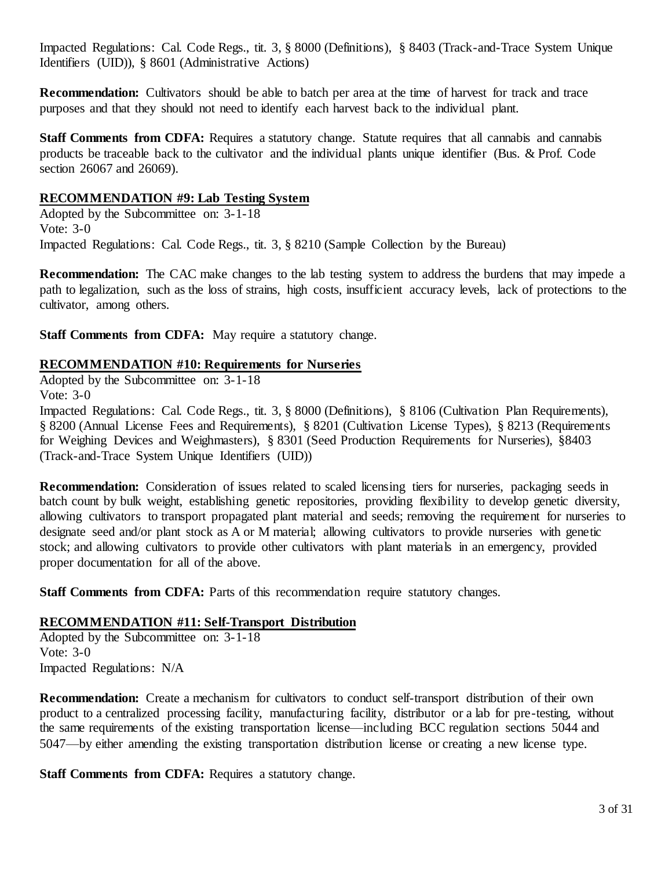Impacted Regulations: Cal. Code Regs., tit. 3, § 8000 (Definitions), § 8403 (Track-and-Trace System Unique Identifiers (UID)), § 8601 (Administrative Actions)

 **Recommendation:** Cultivators should be able to batch per area at the time of harvest for track and trace purposes and that they should not need to identify each harvest back to the individual plant.

Staff Comments from CDFA: Requires a statutory change. Statute requires that all cannabis and cannabis products be traceable back to the cultivator and the individual plants unique identifier (Bus. & Prof. Code section 26067 and 26069).

### **RECOMMENDATION #9: Lab Testing System**

 Adopted by the Subcommittee on: 3-1-18 Impacted Regulations: Cal. Code Regs., tit. 3, § 8210 (Sample Collection by the Bureau) Vote: 3-0

 **Recommendation:** The CAC make changes to the lab testing system to address the burdens that may impede a path to legalization, such as the loss of strains, high costs, insufficient accuracy levels, lack of protections to the cultivator, among others.

**Staff Comments from CDFA:** May require a statutory change.

#### **RECOMMENDATION #10: Requirements for Nurseries**

Adopted by the Subcommittee on: 3-1-18

Vote: 3-0

 Impacted Regulations: Cal. Code Regs., tit. 3, § 8000 (Definitions), § 8106 (Cultivation Plan Requirements), § 8200 (Annual License Fees and Requirements), § 8201 (Cultivation License Types), § 8213 (Requirements for Weighing Devices and Weighmasters), § 8301 (Seed Production Requirements for Nurseries), §8403 (Track-and-Trace System Unique Identifiers (UID))

 **Recommendation:** Consideration of issues related to scaled licensing tiers for nurseries, packaging seeds in batch count by bulk weight, establishing genetic repositories, providing flexibility to develop genetic diversity, allowing cultivators to transport propagated plant material and seeds; removing the requirement for nurseries to designate seed and/or plant stock as A or M material; allowing cultivators to provide nurseries with genetic stock; and allowing cultivators to provide other cultivators with plant materials in an emergency, provided proper documentation for all of the above.

Staff Comments from CDFA: Parts of this recommendation require statutory changes.

### **RECOMMENDATION #11: Self-Transport Distribution**

 Adopted by the Subcommittee on: 3-1-18 Vote: 3-0 Impacted Regulations: N/A

 **Recommendation:** Create a mechanism for cultivators to conduct self-transport distribution of their own product to a centralized processing facility, manufacturing facility, distributor or a lab for pre-testing, without the same requirements of the existing transportation license—including BCC regulation sections 5044 and 5047—by either amending the existing transportation distribution license or creating a new license type.

Staff Comments from CDFA: Requires a statutory change.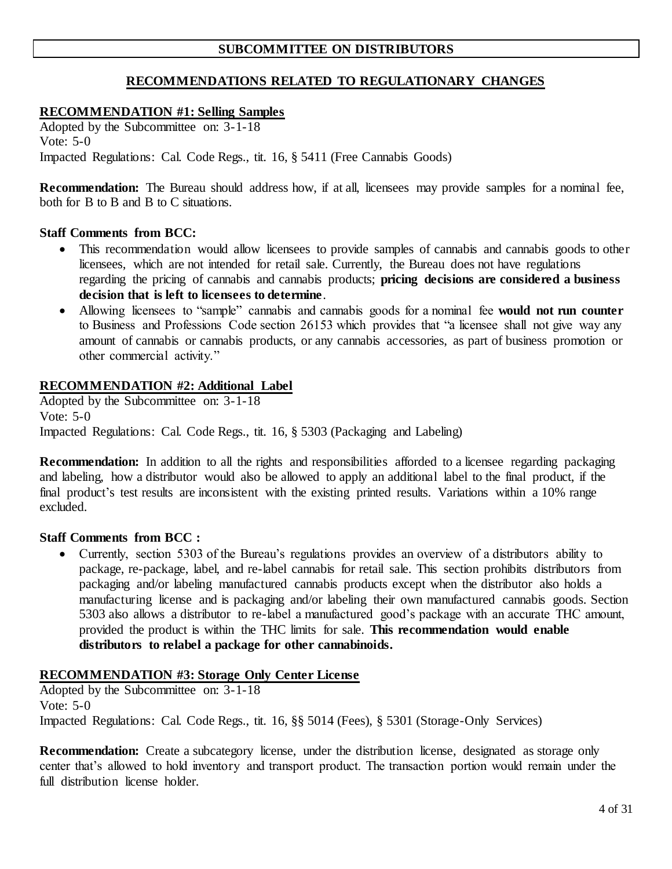# **SUBCOMMITTEE ON DISTRIBUTORS**

# **RECOMMENDATIONS RELATED TO REGULATIONARY CHANGES**

# **RECOMMENDATION #1: Selling Samples**

 Adopted by the Subcommittee on: 3-1-18 Impacted Regulations: Cal. Code Regs., tit. 16, § 5411 (Free Cannabis Goods) Vote: 5-0

 **Recommendation:** The Bureau should address how, if at all, licensees may provide samples for a nominal fee, both for B to B and B to C situations.

#### **Staff Comments from BCC:**

- This recommendation would allow licensees to provide samples of cannabis and cannabis goods to other licensees, which are not intended for retail sale. Currently, the Bureau does not have regulations regarding the pricing of cannabis and cannabis products; **pricing decisions are considered a business decision that is left to licensees to determine**.
- • Allowing licensees to "sample" cannabis and cannabis goods for a nominal fee **would not run counter**  to Business and Professions Code section 26153 which provides that "a licensee shall not give way any amount of cannabis or cannabis products, or any cannabis accessories, as part of business promotion or other commercial activity."

### **RECOMMENDATION #2: Additional Label**

 Adopted by the Subcommittee on: 3-1-18 Vote: 5-0 Impacted Regulations: Cal. Code Regs., tit. 16, § 5303 (Packaging and Labeling)

 **Recommendation:** In addition to all the rights and responsibilities afforded to a licensee regarding packaging and labeling, how a distributor would also be allowed to apply an additional label to the final product, if the final product's test results are inconsistent with the existing printed results. Variations within a 10% range excluded.

#### **Staff Comments from BCC :**

 • Currently, section 5303 of the Bureau's regulations provides an overview of a distributors ability to package, re-package, label, and re-label cannabis for retail sale. This section prohibits distributors from packaging and/or labeling manufactured cannabis products except when the distributor also holds a manufacturing license and is packaging and/or labeling their own manufactured cannabis goods. Section 5303 also allows a distributor to re-label a manufactured good's package with an accurate THC amount, provided the product is within the THC limits for sale. **This recommendation would enable distributors to relabel a package for other cannabinoids.** 

### **RECOMMENDATION #3: Storage Only Center License**

 Adopted by the Subcommittee on: 3-1-18 Vote: 5-0 Impacted Regulations: Cal. Code Regs., tit. 16, §§ 5014 (Fees), § 5301 (Storage-Only Services)

 **Recommendation:** Create a subcategory license, under the distribution license, designated as storage only center that's allowed to hold inventory and transport product. The transaction portion would remain under the full distribution license holder.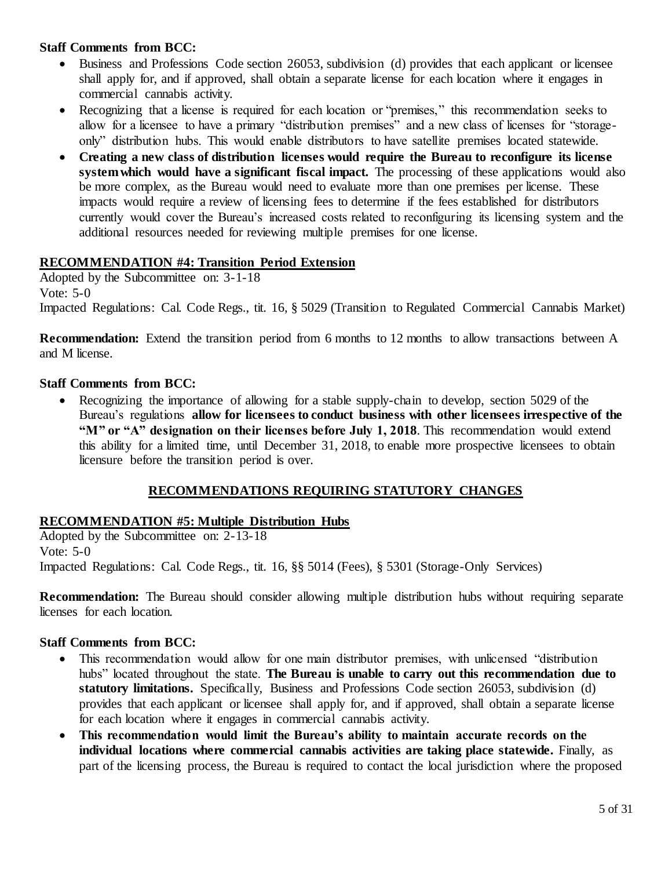- • Business and Professions Code section 26053, subdivision (d) provides that each applicant or licensee shall apply for, and if approved, shall obtain a separate license for each location where it engages in commercial cannabis activity.
- • Recognizing that a license is required for each location or "premises," this recommendation seeks to allow for a licensee to have a primary "distribution premises" and a new class of licenses for "storage-only" distribution hubs. This would enable distributors to have satellite premises located statewide.
- **Creating a new class of distribution licenses would require the Bureau to reconfigure its license system which would have a significant fiscal impact.** The processing of these applications would also be more complex, as the Bureau would need to evaluate more than one premises per license. These impacts would require a review of licensing fees to determine if the fees established for distributors currently would cover the Bureau's increased costs related to reconfiguring its licensing system and the additional resources needed for reviewing multiple premises for one license.

# **RECOMMENDATION #4: Transition Period Extension**

 Adopted by the Subcommittee on: 3-1-18 Impacted Regulations: Cal. Code Regs., tit. 16, § 5029 (Transition to Regulated Commercial Cannabis Market) Vote: 5-0

 **Recommendation:** Extend the transition period from 6 months to 12 months to allow transactions between A and M license.

# **Staff Comments from BCC:**

 • Recognizing the importance of allowing for a stable supply-chain to develop, section 5029 of the Bureau's regulations **allow for licensees to conduct business with other licensees irrespective of the "M" or "A" designation on their licenses before July 1, 2018**. This recommendation would extend this ability for a limited time, until December 31, 2018, to enable more prospective licensees to obtain licensure before the transition period is over.

# **RECOMMENDATIONS REQUIRING STATUTORY CHANGES**

# **RECOMMENDATION #5: Multiple Distribution Hubs**

 Adopted by the Subcommittee on: 2-13-18 Vote: 5-0 Impacted Regulations: Cal. Code Regs., tit. 16, §§ 5014 (Fees), § 5301 (Storage-Only Services)

 **Recommendation:** The Bureau should consider allowing multiple distribution hubs without requiring separate licenses for each location.

- • This recommendation would allow for one main distributor premises, with unlicensed "distribution hubs" located throughout the state. **The Bureau is unable to carry out this recommendation due to statutory limitations.** Specifically, Business and Professions Code section 26053, subdivision (d) provides that each applicant or licensee shall apply for, and if approved, shall obtain a separate license for each location where it engages in commercial cannabis activity.
- **This recommendation would limit the Bureau's ability to maintain accurate records on the individual locations where commercial cannabis activities are taking place statewide. Finally, as** part of the licensing process, the Bureau is required to contact the local jurisdiction where the proposed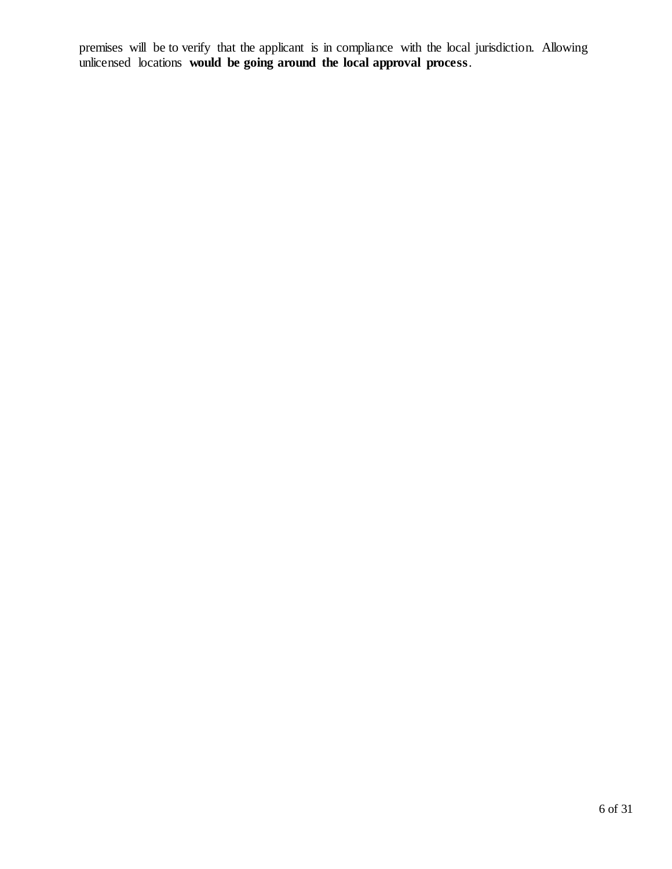premises will be to verify that the applicant is in compliance with the local jurisdiction. Allowing unlicensed locations **would be going around the local approval process**.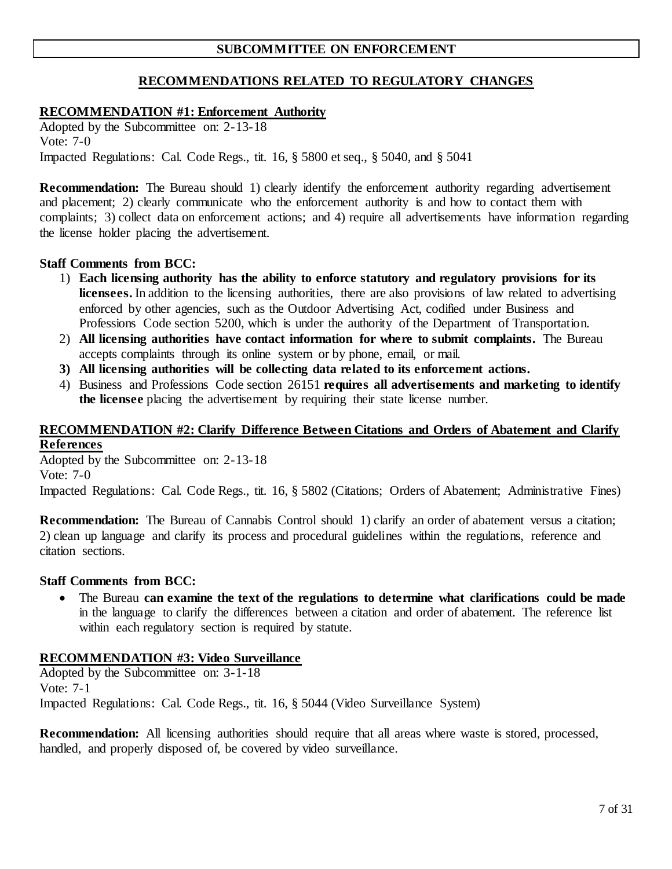# **SUBCOMMITTEE ON ENFORCEMENT**

# **RECOMMENDATIONS RELATED TO REGULATORY CHANGES**

### **RECOMMENDATION #1: Enforcement Authority**

 Adopted by the Subcommittee on: 2-13-18 Vote: 7-0 Impacted Regulations: Cal. Code Regs., tit. 16, § 5800 et seq., § 5040, and § 5041

**Recommendation:** The Bureau should 1) clearly identify the enforcement authority regarding advertisement and placement; 2) clearly communicate who the enforcement authority is and how to contact them with complaints; 3) collect data on enforcement actions; and 4) require all advertisements have information regarding the license holder placing the advertisement.

#### **Staff Comments from BCC:**

- 1) **Each licensing authority has the ability to enforce statutory and regulatory provisions for its licensees.** In addition to the licensing authorities, there are also provisions of law related to advertising enforced by other agencies, such as the Outdoor Advertising Act, codified under Business and Professions Code section 5200, which is under the authority of the Department of Transportation.
- 2) **All licensing authorities have contact information for where to submit complaints.** The Bureau accepts complaints through its online system or by phone, email, or mail.
- **3) All licensing authorities will be collecting data related to its enforcement actions.**
- 4) Business and Professions Code section 26151 **requires all advertisements and marketing to identify the licensee** placing the advertisement by requiring their state license number.

#### **RECOMMENDATION #2: Clarify Difference Between Citations and Orders of Abatement and Clarify References**

 Adopted by the Subcommittee on: 2-13-18 Vote: 7-0

Impacted Regulations: Cal. Code Regs., tit. 16, § 5802 (Citations; Orders of Abatement; Administrative Fines)

**Recommendation:** The Bureau of Cannabis Control should 1) clarify an order of abatement versus a citation; 2) clean up language and clarify its process and procedural guidelines within the regulations, reference and citation sections.

#### **Staff Comments from BCC:**

 • The Bureau **can examine the text of the regulations to determine what clarifications could be made**  in the language to clarify the differences between a citation and order of abatement. The reference list within each regulatory section is required by statute.

### **RECOMMENDATION #3: Video Surveillance**

 Adopted by the Subcommittee on: 3-1-18 Vote: 7-1 Impacted Regulations: Cal. Code Regs., tit. 16, § 5044 (Video Surveillance System)

**Recommendation:** All licensing authorities should require that all areas where waste is stored, processed, handled, and properly disposed of, be covered by video surveillance.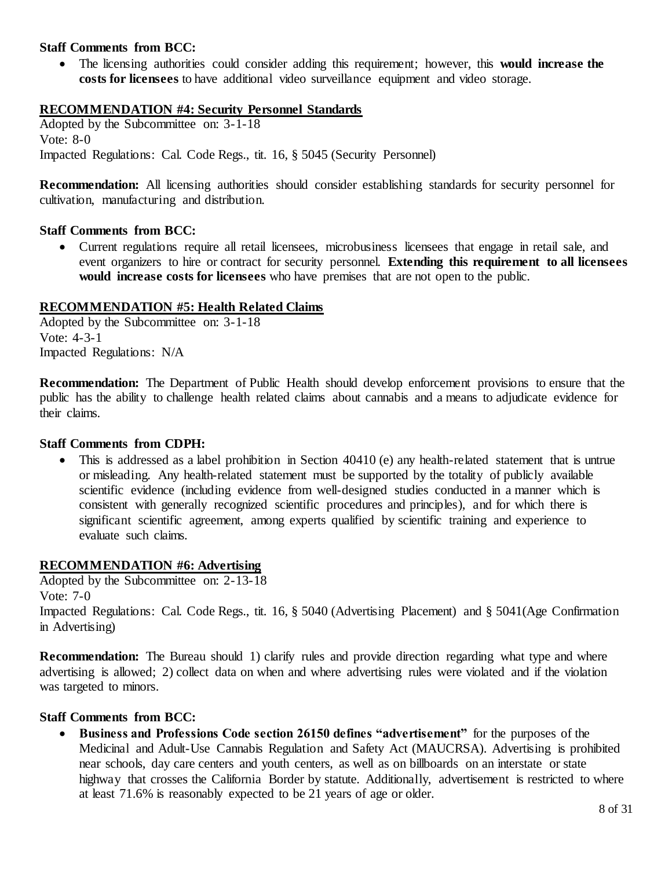• The licensing authorities could consider adding this requirement; however, this **would increase the costs for licensees** to have additional video surveillance equipment and video storage.

# **RECOMMENDATION #4: Security Personnel Standards**

 Adopted by the Subcommittee on: 3-1-18 Vote: 8-0 Impacted Regulations: Cal. Code Regs., tit. 16, § 5045 (Security Personnel)

 **Recommendation:** All licensing authorities should consider establishing standards for security personnel for cultivation, manufacturing and distribution.

### **Staff Comments from BCC:**

 • Current regulations require all retail licensees, microbusiness licensees that engage in retail sale, and event organizers to hire or contract for security personnel. **Extending this requirement to all licensees**  would increase costs for licensees who have premises that are not open to the public.

### **RECOMMENDATION #5: Health Related Claims**

 Adopted by the Subcommittee on: 3-1-18 Vote: 4-3-1 Impacted Regulations: N/A

 **Recommendation:** The Department of Public Health should develop enforcement provisions to ensure that the public has the ability to challenge health related claims about cannabis and a means to adjudicate evidence for their claims.

#### **Staff Comments from CDPH:**

 • This is addressed as a label prohibition in Section 40410 (e) any health-related statement that is untrue or misleading. Any health-related statement must be supported by the totality of publicly available scientific evidence (including evidence from well-designed studies conducted in a manner which is consistent with generally recognized scientific procedures and principles), and for which there is significant scientific agreement, among experts qualified by scientific training and experience to evaluate such claims.

### **RECOMMENDATION #6: Advertising**

 Adopted by the Subcommittee on: 2-13-18 Impacted Regulations: Cal. Code Regs., tit. 16, § 5040 (Advertising Placement) and § 5041(Age Confirmation Vote: 7-0 in Advertising)

**Recommendation:** The Bureau should 1) clarify rules and provide direction regarding what type and where advertising is allowed; 2) collect data on when and where advertising rules were violated and if the violation was targeted to minors.

#### **Staff Comments from BCC:**

 • **Business and Professions Code section 26150 defines "advertisement"** for the purposes of the Medicinal and Adult-Use Cannabis Regulation and Safety Act (MAUCRSA). Advertising is prohibited near schools, day care centers and youth centers, as well as on billboards on an interstate or state highway that crosses the California Border by statute. Additionally, advertisement is restricted to where at least 71.6% is reasonably expected to be 21 years of age or older.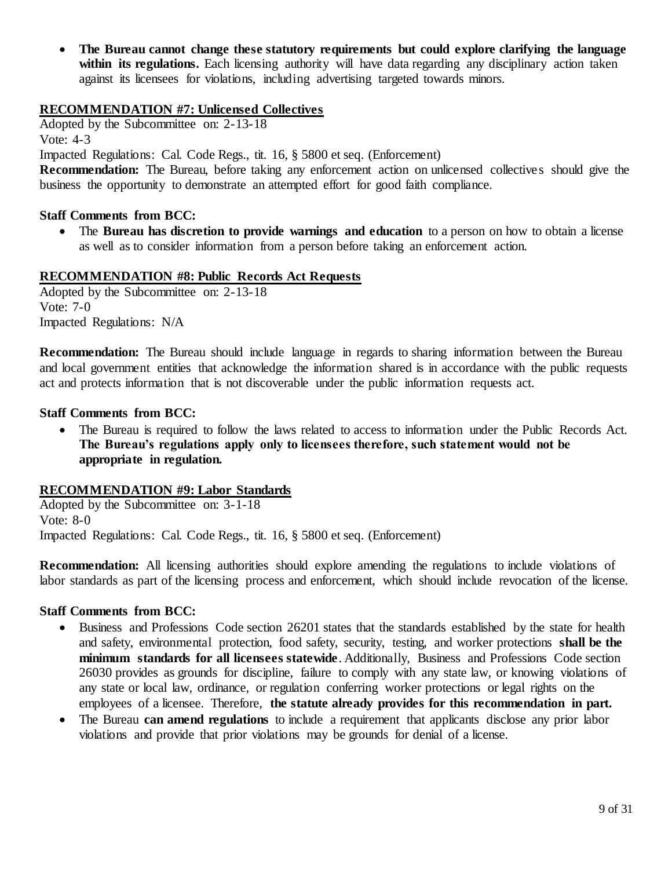• **The Bureau cannot change these statutory requirements but could explore clarifying the language**  within its regulations. Each licensing authority will have data regarding any disciplinary action taken against its licensees for violations, including advertising targeted towards minors.

# **RECOMMENDATION #7: Unlicensed Collectives**

Adopted by the Subcommittee on: 2-13-18

Vote: 4-3

Impacted Regulations: Cal. Code Regs., tit. 16, § 5800 et seq. (Enforcement)

**Recommendation:** The Bureau, before taking any enforcement action on unlicensed collectives should give the business the opportunity to demonstrate an attempted effort for good faith compliance.

# **Staff Comments from BCC:**

• The **Bureau has discretion to provide warnings and education** to a person on how to obtain a license as well as to consider information from a person before taking an enforcement action.

### **RECOMMENDATION #8: Public Records Act Requests**

 Adopted by the Subcommittee on: 2-13-18 Vote: 7-0 Impacted Regulations: N/A

 **Recommendation:** The Bureau should include language in regards to sharing information between the Bureau and local government entities that acknowledge the information shared is in accordance with the public requests act and protects information that is not discoverable under the public information requests act.

### **Staff Comments from BCC:**

 • The Bureau is required to follow the laws related to access to information under the Public Records Act.  **The Bureau's regulations apply only to licensees therefore, such statement would not be appropriate in regulation.** 

### **RECOMMENDATION #9: Labor Standards**

 Adopted by the Subcommittee on: 3-1-18 Vote: 8-0 Impacted Regulations: Cal. Code Regs., tit. 16, § 5800 et seq. (Enforcement)

 **Recommendation:** All licensing authorities should explore amending the regulations to include violations of labor standards as part of the licensing process and enforcement, which should include revocation of the license.

- • Business and Professions Code section 26201 states that the standards established by the state for health and safety, environmental protection, food safety, security, testing, and worker protections **shall be the minimum standards for all licensees statewide**. Additionally, Business and Professions Code section 26030 provides as grounds for discipline, failure to comply with any state law, or knowing violations of any state or local law, ordinance, or regulation conferring worker protections or legal rights on the employees of a licensee. Therefore, **the statute already provides for this recommendation in part.**
- • The Bureau **can amend regulations** to include a requirement that applicants disclose any prior labor violations and provide that prior violations may be grounds for denial of a license.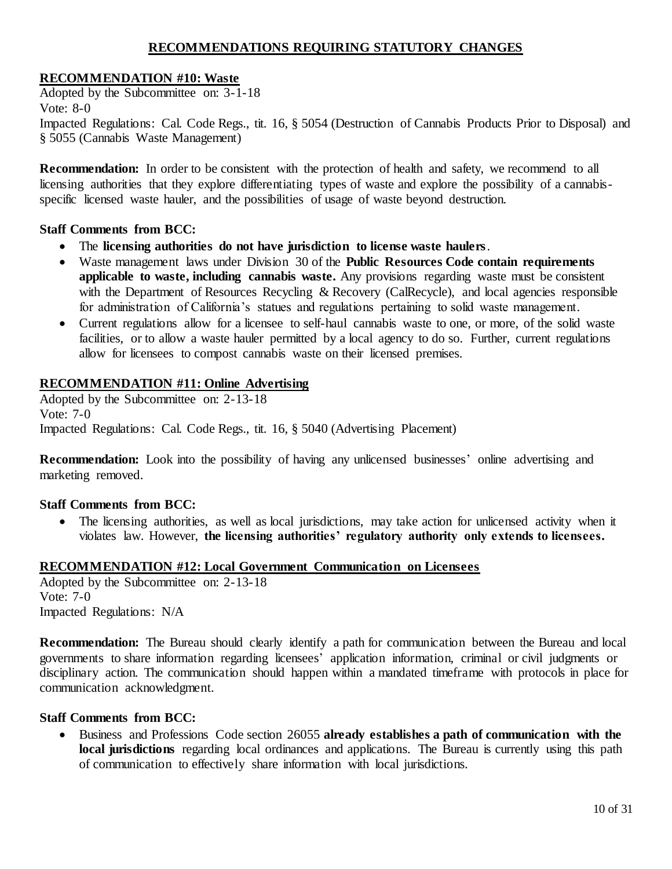# **RECOMMENDATIONS REQUIRING STATUTORY CHANGES**

### **RECOMMENDATION #10: Waste**

 Adopted by the Subcommittee on: 3-1-18 Impacted Regulations: Cal. Code Regs., tit. 16, § 5054 (Destruction of Cannabis Products Prior to Disposal) and § 5055 (Cannabis Waste Management) Vote: 8-0

 **Recommendation:** In order to be consistent with the protection of health and safety, we recommend to all licensing authorities that they explore differentiating types of waste and explore the possibility of a cannabis-specific licensed waste hauler, and the possibilities of usage of waste beyond destruction.

### **Staff Comments from BCC:**

- The **licensing authorities do not have jurisdiction to license waste haulers**.
- • Waste management laws under Division 30 of the **Public Resources Code contain requirements applicable to waste, including cannabis waste.** Any provisions regarding waste must be consistent with the Department of Resources Recycling & Recovery (CalRecycle), and local agencies responsible for administration of California's statues and regulations pertaining to solid waste management.
- • Current regulations allow for a licensee to self-haul cannabis waste to one, or more, of the solid waste facilities, or to allow a waste hauler permitted by a local agency to do so. Further, current regulations allow for licensees to compost cannabis waste on their licensed premises.

### **RECOMMENDATION #11: Online Advertising**

 Adopted by the Subcommittee on: 2-13-18 Vote: 7-0 Impacted Regulations: Cal. Code Regs., tit. 16, § 5040 (Advertising Placement)

 **Recommendation:** Look into the possibility of having any unlicensed businesses' online advertising and marketing removed.

### **Staff Comments from BCC:**

 • The licensing authorities, as well as local jurisdictions, may take action for unlicensed activity when it violates law. However, **the licensing authorities' regulatory authority only extends to licensees.**

#### **RECOMMENDATION #12: Local Government Communication on Licensees**

 Adopted by the Subcommittee on: 2-13-18 Vote: 7-0 Impacted Regulations: N/A

 **Recommendation:** The Bureau should clearly identify a path for communication between the Bureau and local governments to share information regarding licensees' application information, criminal or civil judgments or disciplinary action. The communication should happen within a mandated timeframe with protocols in place for communication acknowledgment.

#### **Staff Comments from BCC:**

 • Business and Professions Code section 26055 **already establishes a path of communication with the local jurisdictions** regarding local ordinances and applications. The Bureau is currently using this path of communication to effectively share information with local jurisdictions.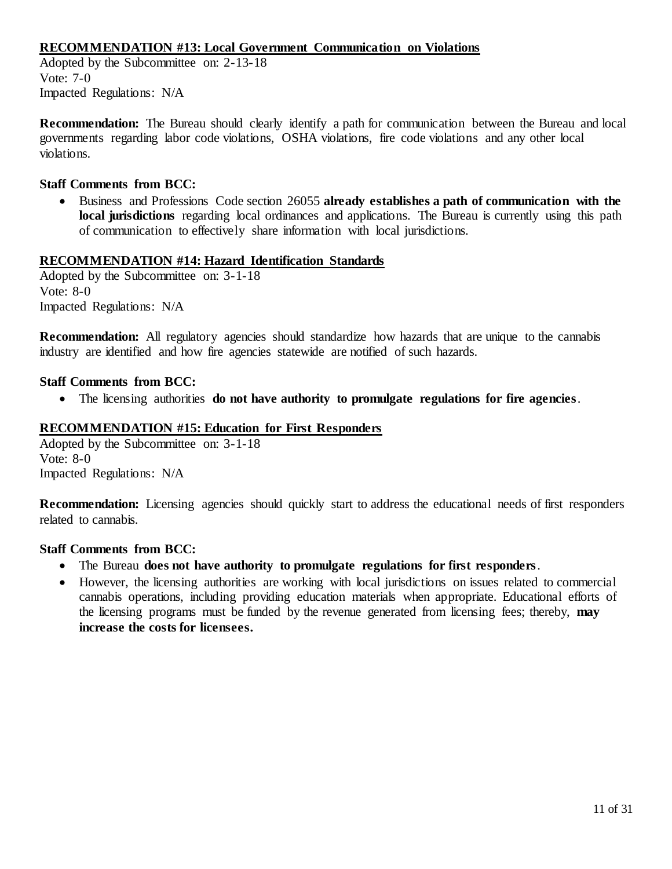# **RECOMMENDATION #13: Local Government Communication on Violations**

 Adopted by the Subcommittee on: 2-13-18 Vote: 7-0 Impacted Regulations: N/A

 **Recommendation:** The Bureau should clearly identify a path for communication between the Bureau and local governments regarding labor code violations, OSHA violations, fire code violations and any other local violations.

### **Staff Comments from BCC:**

 • Business and Professions Code section 26055 **already establishes a path of communication with the local jurisdictions** regarding local ordinances and applications. The Bureau is currently using this path of communication to effectively share information with local jurisdictions.

#### **RECOMMENDATION #14: Hazard Identification Standards**

 Adopted by the Subcommittee on: 3-1-18 Vote: 8-0 Impacted Regulations: N/A

 **Recommendation:** All regulatory agencies should standardize how hazards that are unique to the cannabis industry are identified and how fire agencies statewide are notified of such hazards.

### **Staff Comments from BCC:**

• The licensing authorities **do not have authority to promulgate regulations for fire agencies**.

# **RECOMMENDATION #15: Education for First Responders**

 Adopted by the Subcommittee on: 3-1-18 Vote: 8-0 Impacted Regulations: N/A

 **Recommendation:** Licensing agencies should quickly start to address the educational needs of first responders related to cannabis.

- The Bureau **does not have authority to promulgate regulations for first responders**.
- • However, the licensing authorities are working with local jurisdictions on issues related to commercial cannabis operations, including providing education materials when appropriate. Educational efforts of the licensing programs must be funded by the revenue generated from licensing fees; thereby, **may increase the costs for licensees.**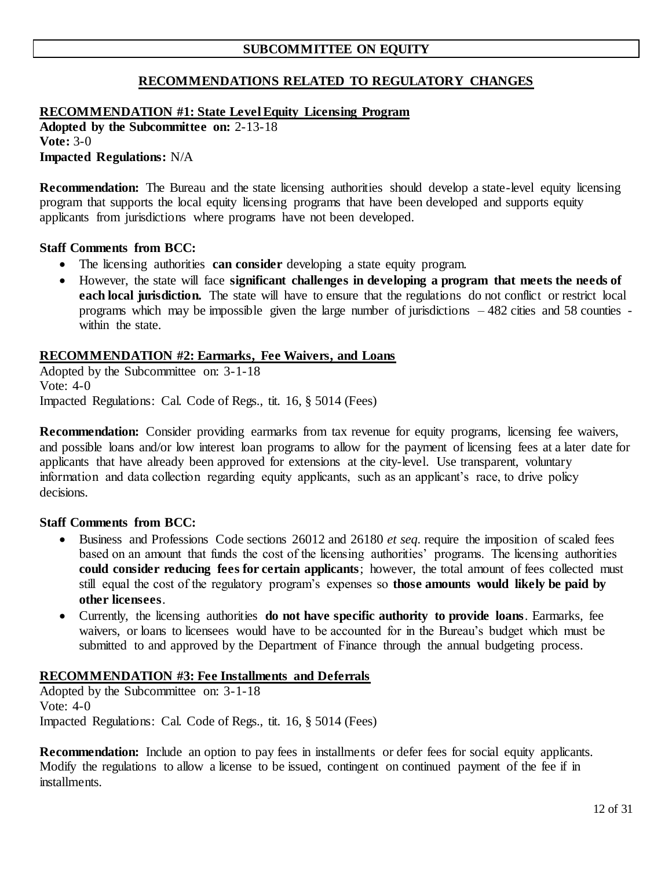# **RECOMMENDATIONS RELATED TO REGULATORY CHANGES**

# **RECOMMENDATION #1: State Level Equity Licensing Program**

**Adopted by the Subcommittee on:** 2-13-18 **Vote:** 3-0 **Impacted Regulations:** N/A

 **Recommendation:** The Bureau and the state licensing authorities should develop a state-level equity licensing program that supports the local equity licensing programs that have been developed and supports equity applicants from jurisdictions where programs have not been developed.

### **Staff Comments from BCC:**

- The licensing authorities **can consider** developing a state equity program.
- • However, the state will face **significant challenges in developing a program that meets the needs of each local jurisdiction.** The state will have to ensure that the regulations do not conflict or restrict local programs which may be impossible given the large number of jurisdictions – 482 cities and 58 counties - within the state.

### **RECOMMENDATION #2: Earmarks, Fee Waivers, and Loans**

 Adopted by the Subcommittee on: 3-1-18 Vote: 4-0 Impacted Regulations: Cal. Code of Regs., tit. 16, § 5014 (Fees)

 **Recommendation:** Consider providing earmarks from tax revenue for equity programs, licensing fee waivers, and possible loans and/or low interest loan programs to allow for the payment of licensing fees at a later date for applicants that have already been approved for extensions at the city-level. Use transparent, voluntary information and data collection regarding equity applicants, such as an applicant's race, to drive policy decisions.

### **Staff Comments from BCC:**

- • Business and Professions Code sections 26012 and 26180 *et seq.* require the imposition of scaled fees based on an amount that funds the cost of the licensing authorities' programs. The licensing authorities  **could consider reducing fees for certain applicants**; however, the total amount of fees collected must still equal the cost of the regulatory program's expenses so **those amounts would likely be paid by other licensees**.
- • Currently, the licensing authorities **do not have specific authority to provide loans**. Earmarks, fee waivers, or loans to licensees would have to be accounted for in the Bureau's budget which must be submitted to and approved by the Department of Finance through the annual budgeting process.

### **RECOMMENDATION #3: Fee Installments and Deferrals**

 Adopted by the Subcommittee on: 3-1-18 Vote: 4-0 Impacted Regulations: Cal. Code of Regs., tit. 16, § 5014 (Fees)

 **Recommendation:** Include an option to pay fees in installments or defer fees for social equity applicants. Modify the regulations to allow a license to be issued, contingent on continued payment of the fee if in installments.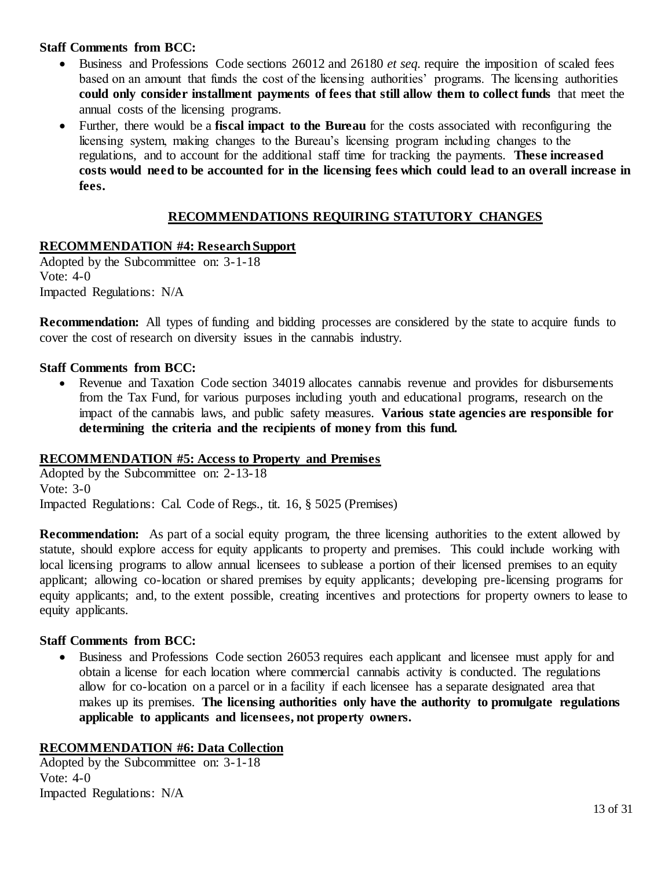- • Business and Professions Code sections 26012 and 26180 *et seq.* require the imposition of scaled fees based on an amount that funds the cost of the licensing authorities' programs. The licensing authorities  **could only consider installment payments of fees that still allow them to collect funds** that meet the annual costs of the licensing programs.
- • Further, there would be a **fiscal impact to the Bureau** for the costs associated with reconfiguring the licensing system, making changes to the Bureau's licensing program including changes to the regulations, and to account for the additional staff time for tracking the payments. **These increased costs would need to be accounted for in the licensing fees which could lead to an overall increase in fees.**

# **RECOMMENDATIONS REQUIRING STATUTORY CHANGES**

# **RECOMMENDATION #4: Research Support**

 Adopted by the Subcommittee on: 3-1-18 Vote: 4-0 Impacted Regulations: N/A

 **Recommendation:** All types of funding and bidding processes are considered by the state to acquire funds to cover the cost of research on diversity issues in the cannabis industry.

## **Staff Comments from BCC:**

 • Revenue and Taxation Code section 34019 allocates cannabis revenue and provides for disbursements from the Tax Fund, for various purposes including youth and educational programs, research on the impact of the cannabis laws, and public safety measures. **Various state agencies are responsible for determining the criteria and the recipients of money from this fund.** 

### **RECOMMENDATION #5: Access to Property and Premises**

 Adopted by the Subcommittee on: 2-13-18 Vote: 3-0 Impacted Regulations: Cal. Code of Regs., tit. 16, § 5025 (Premises)

**Recommendation:** As part of a social equity program, the three licensing authorities to the extent allowed by statute, should explore access for equity applicants to property and premises. This could include working with local licensing programs to allow annual licensees to sublease a portion of their licensed premises to an equity applicant; allowing co-location or shared premises by equity applicants; developing pre-licensing programs for equity applicants; and, to the extent possible, creating incentives and protections for property owners to lease to equity applicants.

### **Staff Comments from BCC:**

 • Business and Professions Code section 26053 requires each applicant and licensee must apply for and obtain a license for each location where commercial cannabis activity is conducted. The regulations allow for co-location on a parcel or in a facility if each licensee has a separate designated area that makes up its premises. **The licensing authorities only have the authority to promulgate regulations applicable to applicants and licensees, not property owners.** 

### **RECOMMENDATION #6: Data Collection**

 Adopted by the Subcommittee on: 3-1-18 Vote: 4-0 Impacted Regulations: N/A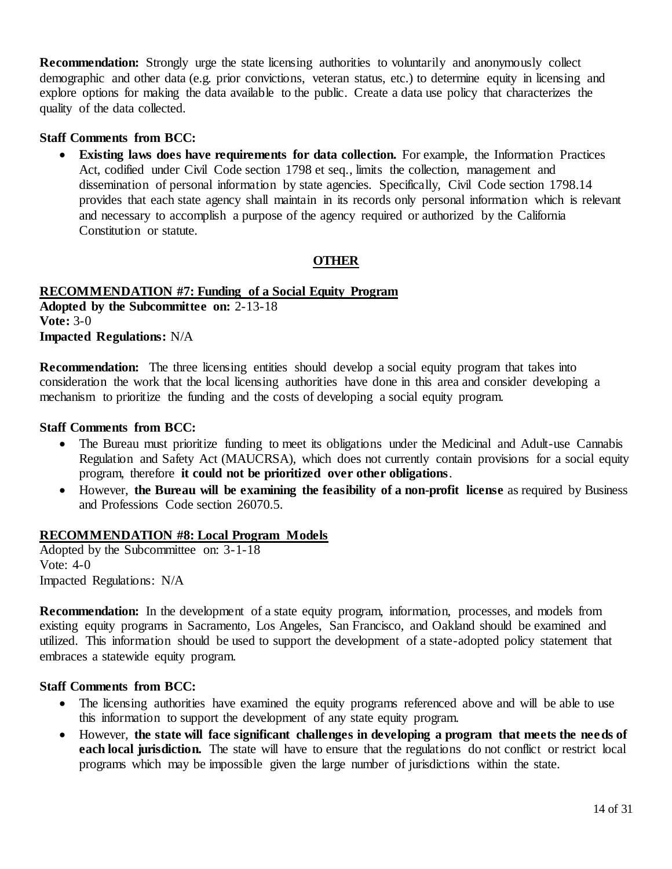**Recommendation:** Strongly urge the state licensing authorities to voluntarily and anonymously collect demographic and other data (e.g. prior convictions, veteran status, etc.) to determine equity in licensing and explore options for making the data available to the public. Create a data use policy that characterizes the quality of the data collected.

#### **Staff Comments from BCC:**

 • **Existing laws does have requirements for data collection.** For example, the Information Practices Act, codified under Civil Code section 1798 et seq., limits the collection, management and dissemination of personal information by state agencies. Specifically, Civil Code section 1798.14 provides that each state agency shall maintain in its records only personal information which is relevant and necessary to accomplish a purpose of the agency required or authorized by the California Constitution or statute.

### **OTHER**

# **RECOMMENDATION #7: Funding of a Social Equity Program**

**Adopted by the Subcommittee on:** 2-13-18 **Vote:** 3-0 **Impacted Regulations:** N/A

**Recommendation:** The three licensing entities should develop a social equity program that takes into consideration the work that the local licensing authorities have done in this area and consider developing a mechanism to prioritize the funding and the costs of developing a social equity program.

#### **Staff Comments from BCC:**

- • The Bureau must prioritize funding to meet its obligations under the Medicinal and Adult-use Cannabis Regulation and Safety Act (MAUCRSA), which does not currently contain provisions for a social equity  program, therefore **it could not be prioritized over other obligations**.
- However, the Bureau will be examining the feasibility of a non-profit license as required by Business and Professions Code section 26070.5.

#### **RECOMMENDATION #8: Local Program Models**

 Adopted by the Subcommittee on: 3-1-18 Vote: 4-0 Impacted Regulations: N/A

 **Recommendation:** In the development of a state equity program, information, processes, and models from existing equity programs in Sacramento, Los Angeles, San Francisco, and Oakland should be examined and utilized. This information should be used to support the development of a state-adopted policy statement that embraces a statewide equity program.

- The licensing authorities have examined the equity programs referenced above and will be able to use this information to support the development of any state equity program.
- However, **the state will face significant challenges in developing a program that meets the nee ds of each local jurisdiction.** The state will have to ensure that the regulations do not conflict or restrict local programs which may be impossible given the large number of jurisdictions within the state.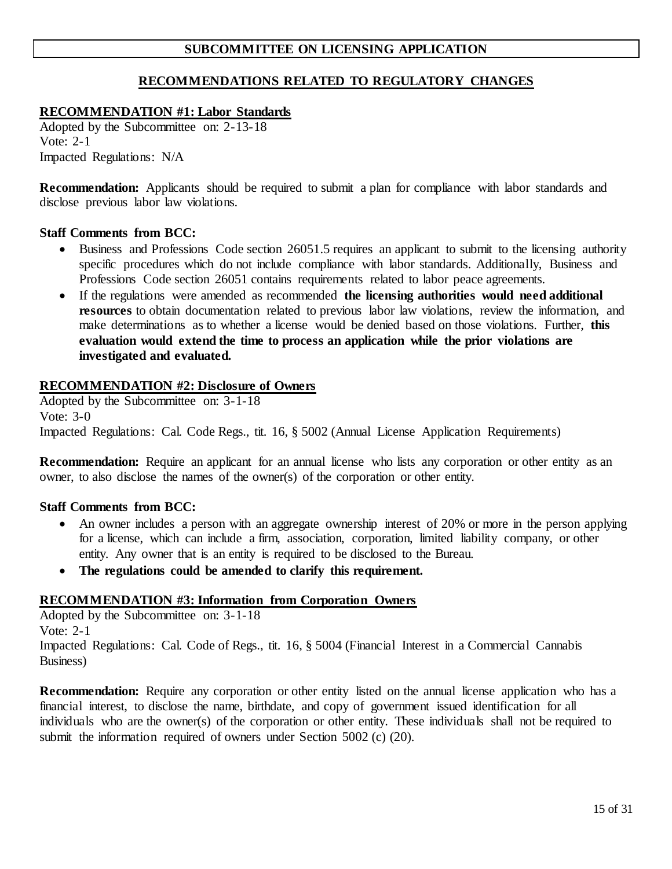# **SUBCOMMITTEE ON LICENSING APPLICATION**

# **RECOMMENDATIONS RELATED TO REGULATORY CHANGES**

## **RECOMMENDATION #1: Labor Standards**

 Adopted by the Subcommittee on: 2-13-18 Vote: 2-1 Impacted Regulations: N/A

 **Recommendation:** Applicants should be required to submit a plan for compliance with labor standards and disclose previous labor law violations.

#### **Staff Comments from BCC:**

- Business and Professions Code section 26051.5 requires an applicant to submit to the licensing authority specific procedures which do not include compliance with labor standards. Additionally, Business and Professions Code section 26051 contains requirements related to labor peace agreements.
- • If the regulations were amended as recommended **the licensing authorities would need additional resources** to obtain documentation related to previous labor law violations, review the information, and make determinations as to whether a license would be denied based on those violations. Further, **this evaluation would extend the time to process an application while the prior violations are investigated and evaluated.**

#### **RECOMMENDATION #2: Disclosure of Owners**

 Adopted by the Subcommittee on: 3-1-18 Impacted Regulations: Cal. Code Regs., tit. 16, § 5002 (Annual License Application Requirements) Vote: 3-0

**Recommendation:** Require an applicant for an annual license who lists any corporation or other entity as an owner, to also disclose the names of the owner(s) of the corporation or other entity.

### **Staff Comments from BCC:**

- An owner includes a person with an aggregate ownership interest of 20% or more in the person applying for a license, which can include a firm, association, corporation, limited liability company, or other entity. Any owner that is an entity is required to be disclosed to the Bureau.
- **The regulations could be amended to clarify this requirement.**

### **RECOMMENDATION #3: Information from Corporation Owners**

 Adopted by the Subcommittee on: 3-1-18 Impacted Regulations: Cal. Code of Regs., tit. 16, § 5004 (Financial Interest in a Commercial Cannabis Vote: 2-1 Business)

**Recommendation:** Require any corporation or other entity listed on the annual license application who has a financial interest, to disclose the name, birthdate, and copy of government issued identification for all individuals who are the owner(s) of the corporation or other entity. These individuals shall not be required to submit the information required of owners under Section 5002 (c) (20).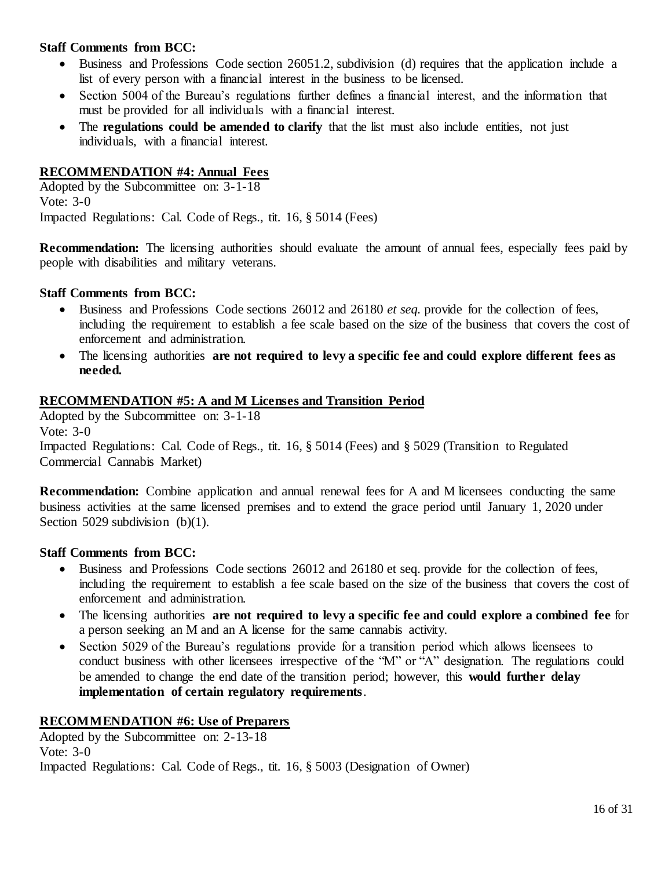- • Business and Professions Code section 26051.2, subdivision (d) requires that the application include a list of every person with a financial interest in the business to be licensed.
- • Section 5004 of the Bureau's regulations further defines a financial interest, and the information that must be provided for all individuals with a financial interest.
- The **regulations could be amended to clarify** that the list must also include entities, not just individuals, with a financial interest.

## **RECOMMENDATION #4: Annual Fees**

 Adopted by the Subcommittee on: 3-1-18 Vote: 3-0 Impacted Regulations: Cal. Code of Regs., tit. 16, § 5014 (Fees)

**Recommendation:** The licensing authorities should evaluate the amount of annual fees, especially fees paid by people with disabilities and military veterans.

### **Staff Comments from BCC:**

- • Business and Professions Code sections 26012 and 26180 *et seq.* provide for the collection of fees, including the requirement to establish a fee scale based on the size of the business that covers the cost of enforcement and administration.
- • The licensing authorities **are not required to levy a specific fee and could explore different fees as needed.**

### **RECOMMENDATION #5: A and M Licenses and Transition Period**

 Adopted by the Subcommittee on: 3-1-18 Commercial Cannabis Market) Vote: 3-0 Impacted Regulations: Cal. Code of Regs., tit. 16, § 5014 (Fees) and § 5029 (Transition to Regulated

**Recommendation:** Combine application and annual renewal fees for A and M licensees conducting the same business activities at the same licensed premises and to extend the grace period until January 1, 2020 under Section 5029 subdivision (b)(1).

### **Staff Comments from BCC:**

- • Business and Professions Code sections 26012 and 26180 et seq. provide for the collection of fees, including the requirement to establish a fee scale based on the size of the business that covers the cost of enforcement and administration.
- • The licensing authorities **are not required to levy a specific fee and could explore a combined fee** for a person seeking an M and an A license for the same cannabis activity.
- • Section 5029 of the Bureau's regulations provide for a transition period which allows licensees to conduct business with other licensees irrespective of the "M" or "A" designation. The regulations could be amended to change the end date of the transition period; however, this **would further delay implementation of certain regulatory requirements**.

### **RECOMMENDATION #6: Use of Preparers**

 Adopted by the Subcommittee on: 2-13-18 Impacted Regulations: Cal. Code of Regs., tit. 16, § 5003 (Designation of Owner) Vote: 3-0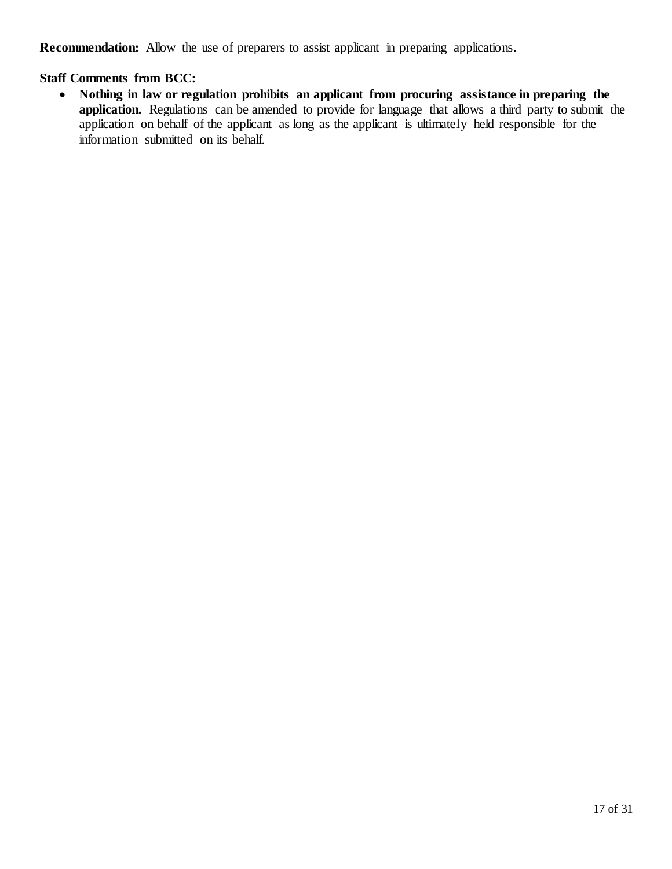**Recommendation:** Allow the use of preparers to assist applicant in preparing applications.

# **Staff Comments from BCC:**

 • **Nothing in law or regulation prohibits an applicant from procuring assistance in preparing the application.** Regulations can be amended to provide for language that allows a third party to submit the application on behalf of the applicant as long as the applicant is ultimately held responsible for the information submitted on its behalf.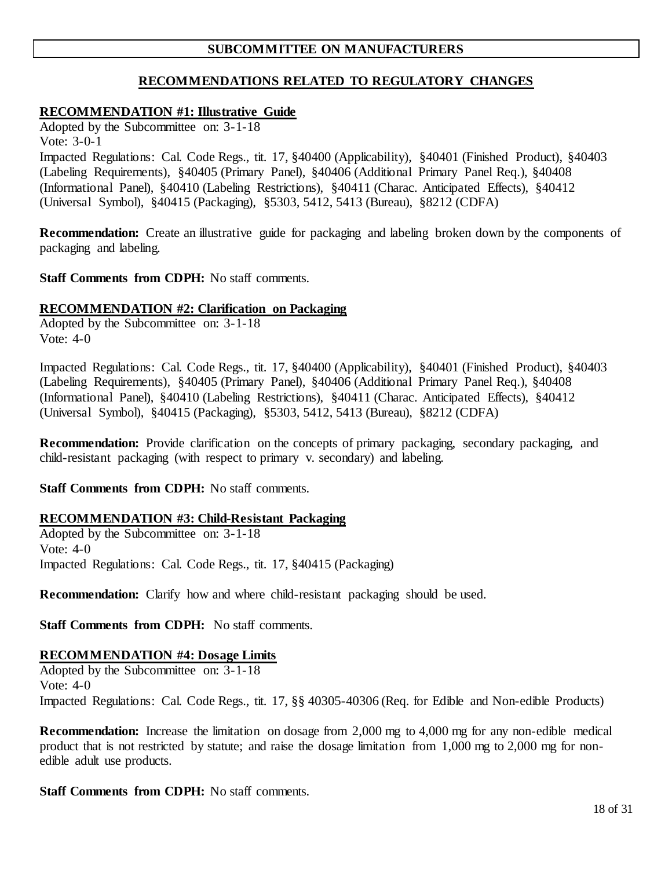# **SUBCOMMITTEE ON MANUFACTURERS**

# **RECOMMENDATIONS RELATED TO REGULATORY CHANGES**

## **RECOMMENDATION #1: Illustrative Guide**

 Adopted by the Subcommittee on: 3-1-18 Vote: 3-0-1

 (Labeling Requirements), §40405 (Primary Panel), §40406 (Additional Primary Panel Req.), §40408 Impacted Regulations: Cal. Code Regs., tit. 17, §40400 (Applicability), §40401 (Finished Product), §40403 (Informational Panel), §40410 (Labeling Restrictions), §40411 (Charac. Anticipated Effects), §40412 (Universal Symbol), §40415 (Packaging), §5303, 5412, 5413 (Bureau), §8212 (CDFA)

**Recommendation:** Create an illustrative guide for packaging and labeling broken down by the components of packaging and labeling.

#### Staff Comments from CDPH: No staff comments.

#### **RECOMMENDATION #2: Clarification on Packaging**

 Adopted by the Subcommittee on: 3-1-18 Vote: 4-0

 (Labeling Requirements), §40405 (Primary Panel), §40406 (Additional Primary Panel Req.), §40408 Impacted Regulations: Cal. Code Regs., tit. 17, §40400 (Applicability), §40401 (Finished Product), §40403 (Informational Panel), §40410 (Labeling Restrictions), §40411 (Charac. Anticipated Effects), §40412 (Universal Symbol), §40415 (Packaging), §5303, 5412, 5413 (Bureau), §8212 (CDFA)

 **Recommendation:** Provide clarification on the concepts of primary packaging, secondary packaging, and child-resistant packaging (with respect to primary v. secondary) and labeling.

Staff Comments from CDPH: No staff comments.

### **RECOMMENDATION #3: Child-Resistant Packaging**

 Adopted by the Subcommittee on: 3-1-18 Vote: 4-0 Impacted Regulations: Cal. Code Regs., tit. 17, §40415 (Packaging)

**Recommendation:** Clarify how and where child-resistant packaging should be used.

Staff Comments from CDPH: No staff comments.

### **RECOMMENDATION #4: Dosage Limits**

 Adopted by the Subcommittee on: 3-1-18 Impacted Regulations: Cal. Code Regs., tit. 17, §§ 40305-40306 (Req. for Edible and Non-edible Products) Vote: 4-0

 **Recommendation:** Increase the limitation on dosage from 2,000 mg to 4,000 mg for any non-edible medical product that is not restricted by statute; and raise the dosage limitation from 1,000 mg to 2,000 mg for non-edible adult use products.

Staff Comments from CDPH: No staff comments.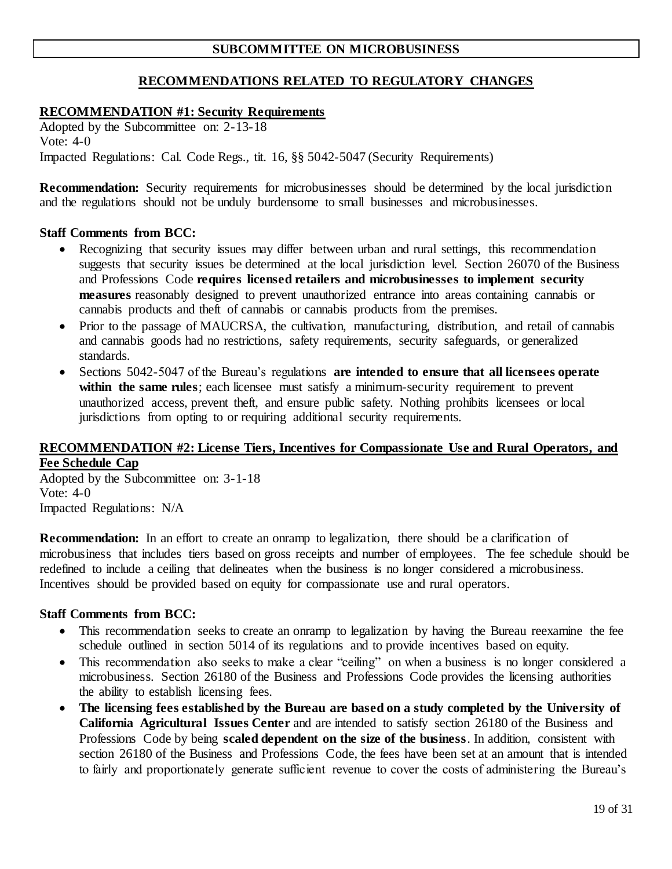# **SUBCOMMITTEE ON MICROBUSINESS**

# **RECOMMENDATIONS RELATED TO REGULATORY CHANGES**

#### **RECOMMENDATION #1: Security Requirements**

 Adopted by the Subcommittee on: 2-13-18 Vote: 4-0 Impacted Regulations: Cal. Code Regs., tit. 16, §§ 5042-5047 (Security Requirements)

 **Recommendation:** Security requirements for microbusinesses should be determined by the local jurisdiction and the regulations should not be unduly burdensome to small businesses and microbusinesses.

#### **Staff Comments from BCC:**

- • Recognizing that security issues may differ between urban and rural settings, this recommendation suggests that security issues be determined at the local jurisdiction level. Section 26070 of the Business and Professions Code **requires licensed retailers and microbusinesses to implement security measures** reasonably designed to prevent unauthorized entrance into areas containing cannabis or cannabis products and theft of cannabis or cannabis products from the premises.
- Prior to the passage of MAUCRSA, the cultivation, manufacturing, distribution, and retail of cannabis and cannabis goods had no restrictions, safety requirements, security safeguards, or generalized standards.
- • Sections 5042-5047 of the Bureau's regulations **are intended to ensure that all licensees operate**  within the same rules; each licensee must satisfy a minimum-security requirement to prevent unauthorized access, prevent theft, and ensure public safety. Nothing prohibits licensees or local jurisdictions from opting to or requiring additional security requirements.

### **RECOMMENDATION #2: License Tiers, Incentives for Compassionate Use and Rural Operators, and Fee Schedule Cap**

 Adopted by the Subcommittee on: 3-1-18 Vote: 4-0 Impacted Regulations: N/A

 **Recommendation:** In an effort to create an onramp to legalization, there should be a clarification of microbusiness that includes tiers based on gross receipts and number of employees. The fee schedule should be redefined to include a ceiling that delineates when the business is no longer considered a microbusiness. Incentives should be provided based on equity for compassionate use and rural operators.

- • This recommendation seeks to create an onramp to legalization by having the Bureau reexamine the fee schedule outlined in section 5014 of its regulations and to provide incentives based on equity.
- This recommendation also seeks to make a clear "ceiling" on when a business is no longer considered a microbusiness. Section 26180 of the Business and Professions Code provides the licensing authorities the ability to establish licensing fees.
- The licensing fees established by the Bureau are based on a study completed by the University of  **California Agricultural Issues Center** and are intended to satisfy section 26180 of the Business and Professions Code by being **scaled dependent on the size of the business**. In addition, consistent with section 26180 of the Business and Professions Code, the fees have been set at an amount that is intended to fairly and proportionately generate sufficient revenue to cover the costs of administering the Bureau's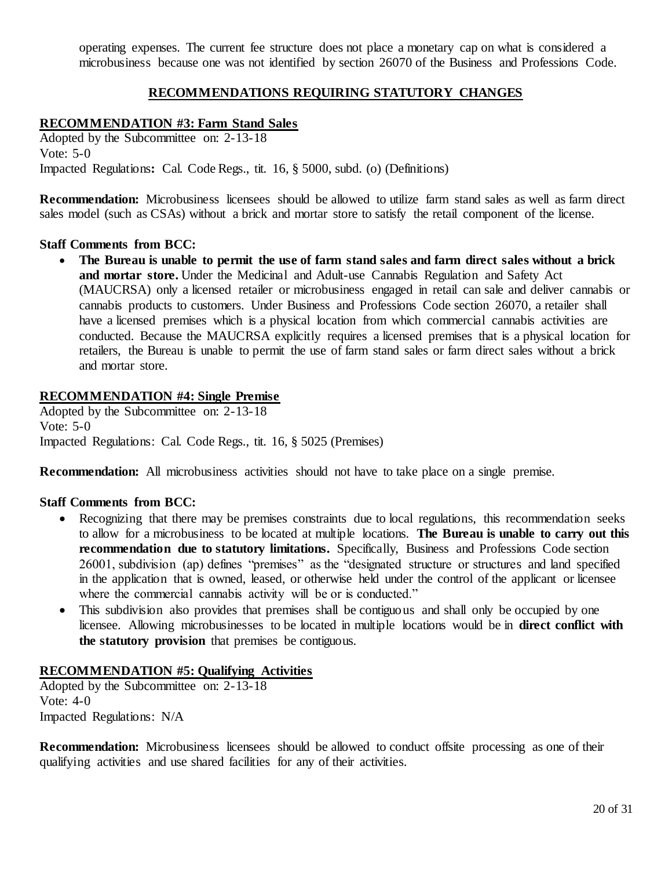operating expenses. The current fee structure does not place a monetary cap on what is considered a microbusiness because one was not identified by section 26070 of the Business and Professions Code.

# **RECOMMENDATIONS REQUIRING STATUTORY CHANGES**

# **RECOMMENDATION #3: Farm Stand Sales**

 Adopted by the Subcommittee on: 2-13-18 Vote: 5-0 Impacted Regulations**:** Cal. Code Regs., tit. 16, § 5000, subd. (o) (Definitions)

 **Recommendation:** Microbusiness licensees should be allowed to utilize farm stand sales as well as farm direct sales model (such as CSAs) without a brick and mortar store to satisfy the retail component of the license.

#### **Staff Comments from BCC:**

• The Bureau is unable to permit the use of farm stand sales and farm direct sales without a brick and mortar store. Under the Medicinal and Adult-use Cannabis Regulation and Safety Act (MAUCRSA) only a licensed retailer or microbusiness engaged in retail can sale and deliver cannabis or cannabis products to customers. Under Business and Professions Code section 26070, a retailer shall have a licensed premises which is a physical location from which commercial cannabis activities are conducted. Because the MAUCRSA explicitly requires a licensed premises that is a physical location for retailers, the Bureau is unable to permit the use of farm stand sales or farm direct sales without a brick and mortar store.

#### **RECOMMENDATION #4: Single Premise**

 Adopted by the Subcommittee on: 2-13-18 Vote: 5-0 Impacted Regulations: Cal. Code Regs., tit. 16, § 5025 (Premises)

**Recommendation:** All microbusiness activities should not have to take place on a single premise.

#### **Staff Comments from BCC:**

- • Recognizing that there may be premises constraints due to local regulations, this recommendation seeks to allow for a microbusiness to be located at multiple locations. **The Bureau is unable to carry out this recommendation due to statutory limitations.** Specifically, Business and Professions Code section 26001, subdivision (ap) defines "premises" as the "designated structure or structures and land specified in the application that is owned, leased, or otherwise held under the control of the applicant or licensee where the commercial cannabis activity will be or is conducted."
- • This subdivision also provides that premises shall be contiguous and shall only be occupied by one licensee. Allowing microbusinesses to be located in multiple locations would be in **direct conflict with the statutory provision** that premises be contiguous.

#### **RECOMMENDATION #5: Qualifying Activities**

 Adopted by the Subcommittee on: 2-13-18 Vote: 4-0 Impacted Regulations: N/A

 **Recommendation:** Microbusiness licensees should be allowed to conduct offsite processing as one of their qualifying activities and use shared facilities for any of their activities.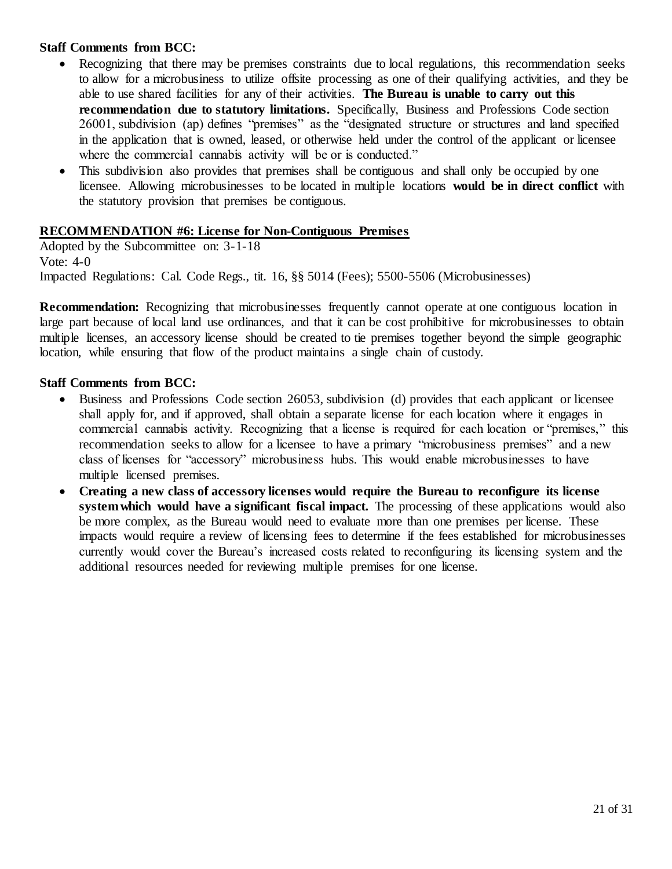- • Recognizing that there may be premises constraints due to local regulations, this recommendation seeks to allow for a microbusiness to utilize offsite processing as one of their qualifying activities, and they be able to use shared facilities for any of their activities. **The Bureau is unable to carry out this recommendation due to statutory limitations.** Specifically, Business and Professions Code section 26001, subdivision (ap) defines "premises" as the "designated structure or structures and land specified in the application that is owned, leased, or otherwise held under the control of the applicant or licensee where the commercial cannabis activity will be or is conducted."
- • This subdivision also provides that premises shall be contiguous and shall only be occupied by one licensee. Allowing microbusinesses to be located in multiple locations **would be in direct conflict** with the statutory provision that premises be contiguous.

# **RECOMMENDATION #6: License for Non-Contiguous Premises**

 Adopted by the Subcommittee on: 3-1-18 Vote: 4-0 Impacted Regulations: Cal. Code Regs., tit. 16, §§ 5014 (Fees); 5500-5506 (Microbusinesses)

**Recommendation:** Recognizing that microbusinesses frequently cannot operate at one contiguous location in large part because of local land use ordinances, and that it can be cost prohibitive for microbusinesses to obtain multiple licenses, an accessory license should be created to tie premises together beyond the simple geographic location, while ensuring that flow of the product maintains a single chain of custody.

- • Business and Professions Code section 26053, subdivision (d) provides that each applicant or licensee shall apply for, and if approved, shall obtain a separate license for each location where it engages in commercial cannabis activity. Recognizing that a license is required for each location or "premises," this recommendation seeks to allow for a licensee to have a primary "microbusiness premises" and a new class of licenses for "accessory" microbusiness hubs. This would enable microbusinesses to have multiple licensed premises.
- **Creating a new class of accessory licenses would require the Bureau to reconfigure its license system which would have a significant fiscal impact.** The processing of these applications would also be more complex, as the Bureau would need to evaluate more than one premises per license. These impacts would require a review of licensing fees to determine if the fees established for microbusinesses currently would cover the Bureau's increased costs related to reconfiguring its licensing system and the additional resources needed for reviewing multiple premises for one license.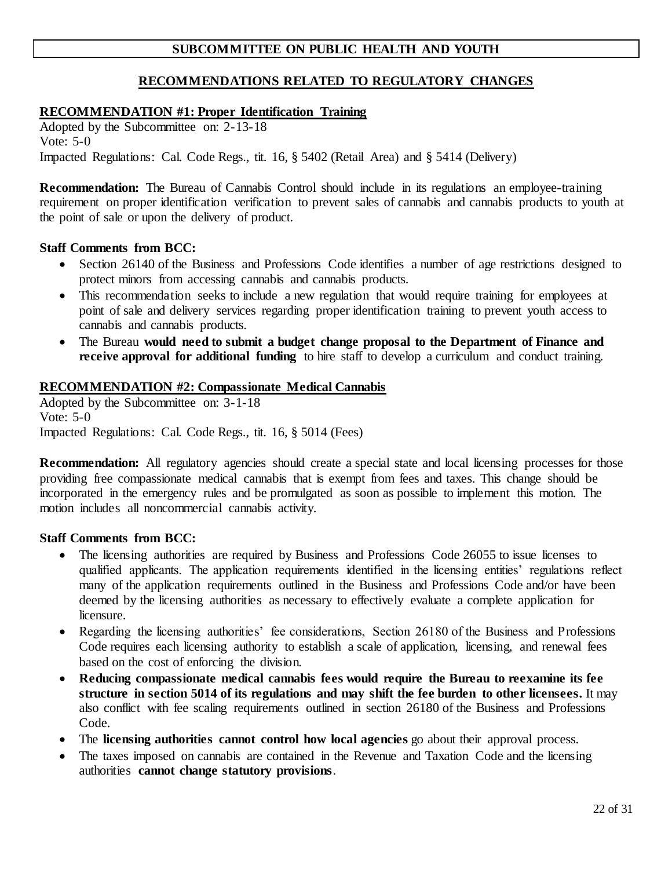# **SUBCOMMITTEE ON PUBLIC HEALTH AND YOUTH**

# **RECOMMENDATIONS RELATED TO REGULATORY CHANGES**

# **RECOMMENDATION #1: Proper Identification Training**

 Adopted by the Subcommittee on: 2-13-18 Vote: 5-0 Impacted Regulations: Cal. Code Regs., tit. 16, § 5402 (Retail Area) and § 5414 (Delivery)

 **Recommendation:** The Bureau of Cannabis Control should include in its regulations an employee-training the point of sale or upon the delivery of product. requirement on proper identification verification to prevent sales of cannabis and cannabis products to youth at

### **Staff Comments from BCC:**

- • Section 26140 of the Business and Professions Code identifies a number of age restrictions designed to protect minors from accessing cannabis and cannabis products.
- • This recommendation seeks to include a new regulation that would require training for employees at point of sale and delivery services regarding proper identification training to prevent youth access to cannabis and cannabis products.
- • The Bureau **would need to submit a budget change proposal to the Department of Finance and receive approval for additional funding** to hire staff to develop a curriculum and conduct training.

# **RECOMMENDATION #2: Compassionate Medical Cannabis**

 Adopted by the Subcommittee on: 3-1-18 Vote: 5-0 Impacted Regulations: Cal. Code Regs., tit. 16, § 5014 (Fees)

 **Recommendation:** All regulatory agencies should create a special state and local licensing processes for those providing free compassionate medical cannabis that is exempt from fees and taxes. This change should be incorporated in the emergency rules and be promulgated as soon as possible to implement this motion. The motion includes all noncommercial cannabis activity.

- • The licensing authorities are required by Business and Professions Code 26055 to issue licenses to qualified applicants. The application requirements identified in the licensing entities' regulations reflect many of the application requirements outlined in the Business and Professions Code and/or have been deemed by the licensing authorities as necessary to effectively evaluate a complete application for licensure.
- • Regarding the licensing authorities' fee considerations, Section 26180 of the Business and Professions Code requires each licensing authority to establish a scale of application, licensing, and renewal fees based on the cost of enforcing the division.
- **Reducing compassionate medical cannabis fees would require the Bureau to reexamine its fee structure in section 5014 of its regulations and may shift the fee burden to other licensees.** It may also conflict with fee scaling requirements outlined in section 26180 of the Business and Professions Code.
- The **licensing authorities cannot control how local agencies** go about their approval process.
- The taxes imposed on cannabis are contained in the Revenue and Taxation Code and the licensing  authorities **cannot change statutory provisions**.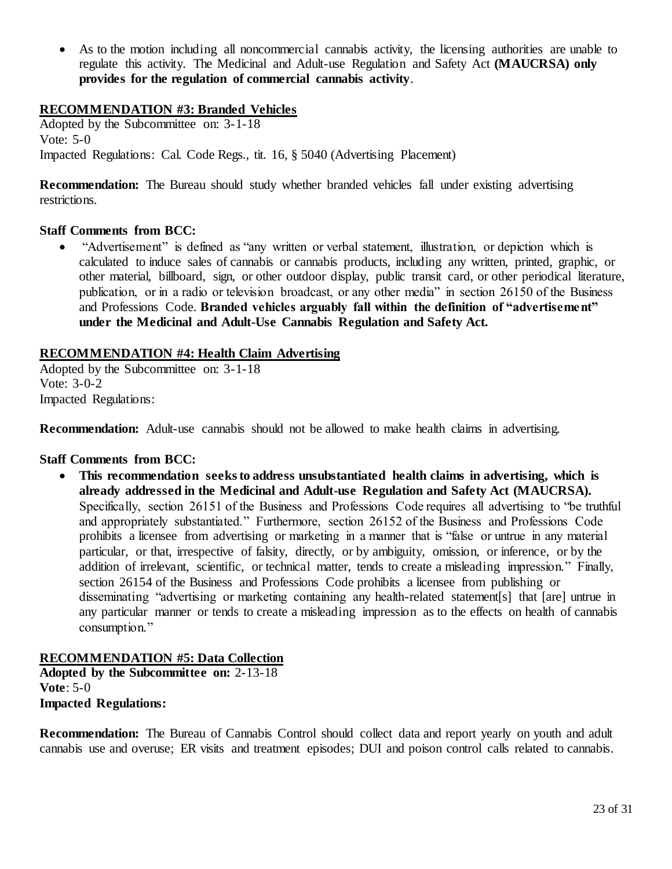• As to the motion including all noncommercial cannabis activity, the licensing authorities are unable to regulate this activity. The Medicinal and Adult-use Regulation and Safety Act **(MAUCRSA) only provides for the regulation of commercial cannabis activity**.

# **RECOMMENDATION #3: Branded Vehicles**

 Adopted by the Subcommittee on: 3-1-18 Vote: 5-0 Impacted Regulations: Cal. Code Regs., tit. 16, § 5040 (Advertising Placement)

 **Recommendation:** The Bureau should study whether branded vehicles fall under existing advertising  restrictions.

### **Staff Comments from BCC:**

 • "Advertisement" is defined as "any written or verbal statement, illustration, or depiction which is calculated to induce sales of cannabis or cannabis products, including any written, printed, graphic, or other material, billboard, sign, or other outdoor display, public transit card, or other periodical literature, publication, or in a radio or television broadcast, or any other media" in section 26150 of the Business  and Professions Code. **Branded vehicles arguably fall within the definition of "advertisement" under the Medicinal and Adult-Use Cannabis Regulation and Safety Act.** 

### **RECOMMENDATION #4: Health Claim Advertising**

 Adopted by the Subcommittee on: 3-1-18 Impacted Regulations: Vote: 3-0-2

**Recommendation:** Adult-use cannabis should not be allowed to make health claims in advertising.

#### **Staff Comments from BCC:**

• This recommendation seeks to address unsubstantiated health claims in advertising, which is  **already addressed in the Medicinal and Adult-use Regulation and Safety Act (MAUCRSA).**  Specifically, section 26151 of the Business and Professions Code requires all advertising to "be truthful and appropriately substantiated." Furthermore, section 26152 of the Business and Professions Code prohibits a licensee from advertising or marketing in a manner that is "false or untrue in any material particular, or that, irrespective of falsity, directly, or by ambiguity, omission, or inference, or by the addition of irrelevant, scientific, or technical matter, tends to create a misleading impression." Finally, section 26154 of the Business and Professions Code prohibits a licensee from publishing or disseminating "advertising or marketing containing any health-related statement[s] that [are] untrue in any particular manner or tends to create a misleading impression as to the effects on health of cannabis consumption."

# **RECOMMENDATION #5: Data Collection**

 **Adopted by the Subcommittee on:** 2-13-18 **Vote**: 5-0 **Impacted Regulations:** 

 **Recommendation:** The Bureau of Cannabis Control should collect data and report yearly on youth and adult cannabis use and overuse; ER visits and treatment episodes; DUI and poison control calls related to cannabis.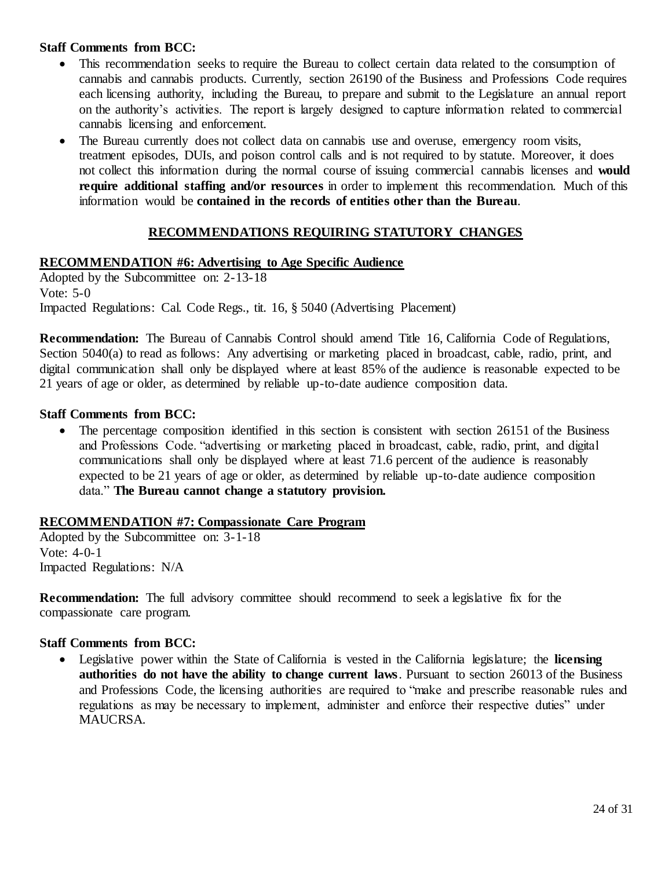- • This recommendation seeks to require the Bureau to collect certain data related to the consumption of cannabis and cannabis products. Currently, section 26190 of the Business and Professions Code requires each licensing authority, including the Bureau, to prepare and submit to the Legislature an annual report on the authority's activities. The report is largely designed to capture information related to commercial cannabis licensing and enforcement.
- • The Bureau currently does not collect data on cannabis use and overuse, emergency room visits, treatment episodes, DUIs, and poison control calls and is not required to by statute. Moreover, it does not collect this information during the normal course of issuing commercial cannabis licenses and **would require additional staffing and/or resources** in order to implement this recommendation. Much of this information would be **contained in the records of entities other than the Bureau**.

# **RECOMMENDATIONS REQUIRING STATUTORY CHANGES**

# **RECOMMENDATION #6: Advertising to Age Specific Audience**

 Adopted by the Subcommittee on: 2-13-18 Vote: 5-0 Impacted Regulations: Cal. Code Regs., tit. 16, § 5040 (Advertising Placement)

 **Recommendation:** The Bureau of Cannabis Control should amend Title 16, California Code of Regulations, Section 5040(a) to read as follows: Any advertising or marketing placed in broadcast, cable, radio, print, and digital communication shall only be displayed where at least 85% of the audience is reasonable expected to be 21 years of age or older, as determined by reliable up-to-date audience composition data.

# **Staff Comments from BCC:**

• The percentage composition identified in this section is consistent with section 26151 of the Business and Professions Code. "advertising or marketing placed in broadcast, cable, radio, print, and digital communications shall only be displayed where at least 71.6 percent of the audience is reasonably expected to be 21 years of age or older, as determined by reliable up-to-date audience composition  data." **The Bureau cannot change a statutory provision.** 

### **RECOMMENDATION #7: Compassionate Care Program**

 Adopted by the Subcommittee on: 3-1-18 Vote: 4-0-1 Impacted Regulations: N/A

 **Recommendation:** The full advisory committee should recommend to seek a legislative fix for the compassionate care program.

# **Staff Comments from BCC:**

 • Legislative power within the State of California is vested in the California legislature; the **licensing**  authorities do not have the ability to change current laws. Pursuant to section 26013 of the Business and Professions Code, the licensing authorities are required to "make and prescribe reasonable rules and regulations as may be necessary to implement, administer and enforce their respective duties" under MAUCRSA.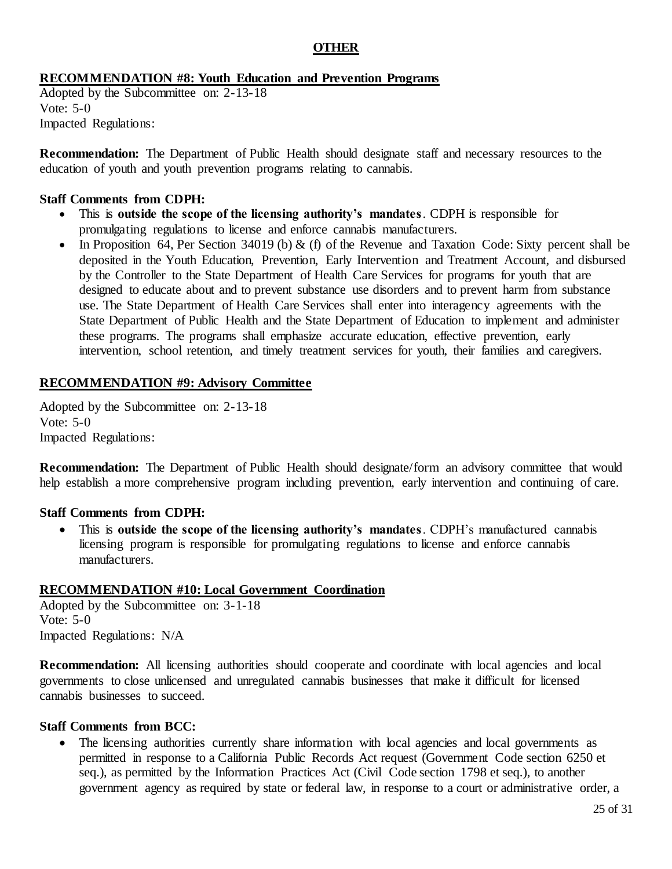# **OTHER**

# **RECOMMENDATION #8: Youth Education and Prevention Programs**

 Adopted by the Subcommittee on: 2-13-18 Vote: 5-0 Impacted Regulations:

 **Recommendation:** The Department of Public Health should designate staff and necessary resources to the education of youth and youth prevention programs relating to cannabis.

#### **Staff Comments from CDPH:**

- • This is **outside the scope of the licensing authority's mandates**. CDPH is responsible for promulgating regulations to license and enforce cannabis manufacturers.
- In Proposition 64, Per Section 34019 (b)  $\&$  (f) of the Revenue and Taxation Code: Sixty percent shall be deposited in the Youth Education, Prevention, Early Intervention and Treatment Account, and disbursed by the Controller to the State Department of Health Care Services for programs for youth that are designed to educate about and to prevent substance use disorders and to prevent harm from substance use. The State Department of Health Care Services shall enter into interagency agreements with the State Department of Public Health and the State Department of Education to implement and administer these programs. The programs shall emphasize accurate education, effective prevention, early intervention, school retention, and timely treatment services for youth, their families and caregivers.

### **RECOMMENDATION #9: Advisory Committee**

 Adopted by the Subcommittee on: 2-13-18 Vote: 5-0 Impacted Regulations:

 **Recommendation:** The Department of Public Health should designate/form an advisory committee that would help establish a more comprehensive program including prevention, early intervention and continuing of care.

### **Staff Comments from CDPH:**

 • This is **outside the scope of the licensing authority's mandates**. CDPH's manufactured cannabis licensing program is responsible for promulgating regulations to license and enforce cannabis manufacturers.

### **RECOMMENDATION #10: Local Government Coordination**

 Adopted by the Subcommittee on: 3-1-18 Vote: 5-0 Impacted Regulations: N/A

**Recommendation:** All licensing authorities should cooperate and coordinate with local agencies and local governments to close unlicensed and unregulated cannabis businesses that make it difficult for licensed cannabis businesses to succeed.

#### **Staff Comments from BCC:**

 • The licensing authorities currently share information with local agencies and local governments as permitted in response to a California Public Records Act request (Government Code section 6250 et seq.), as permitted by the Information Practices Act (Civil Code section 1798 et seq.), to another government agency as required by state or federal law, in response to a court or administrative order, a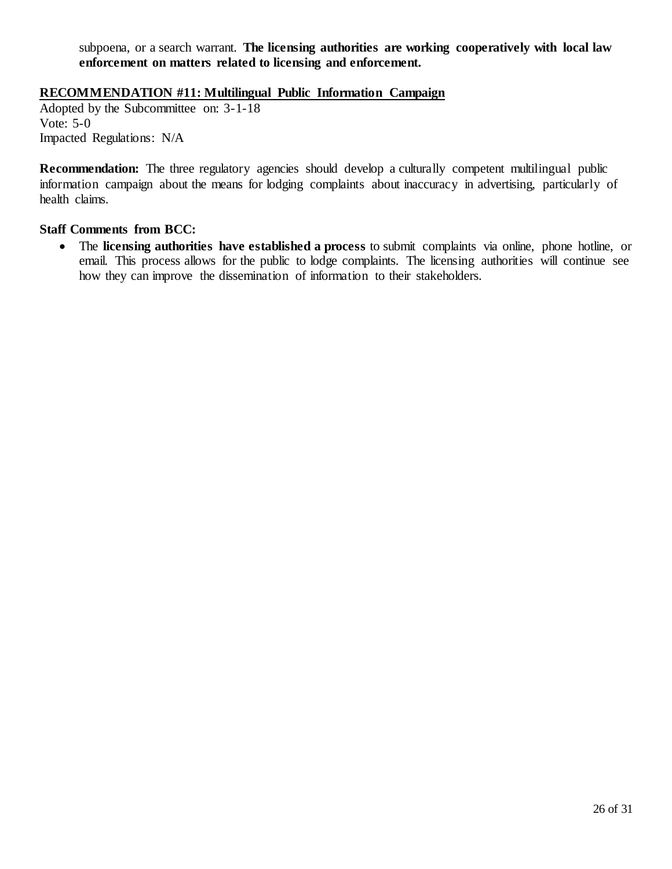subpoena, or a search warrant. **The licensing authorities are working cooperatively with local law enforcement on matters related to licensing and enforcement.** 

# **RECOMMENDATION #11: Multilingual Public Information Campaign**

 Adopted by the Subcommittee on: 3-1-18 Vote: 5-0 Impacted Regulations: N/A

 **Recommendation:** The three regulatory agencies should develop a culturally competent multilingual public information campaign about the means for lodging complaints about inaccuracy in advertising, particularly of health claims.

### **Staff Comments from BCC:**

 • The **licensing authorities have established a process** to submit complaints via online, phone hotline, or email. This process allows for the public to lodge complaints. The licensing authorities will continue see how they can improve the dissemination of information to their stakeholders.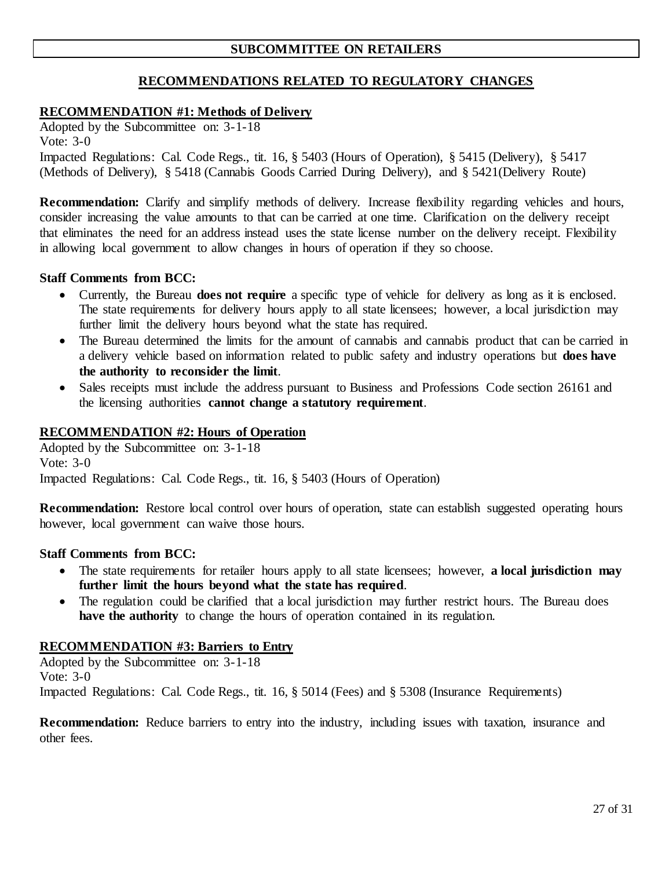# **SUBCOMMITTEE ON RETAILERS**

# **RECOMMENDATIONS RELATED TO REGULATORY CHANGES**

### **RECOMMENDATION #1: Methods of Delivery**

 Adopted by the Subcommittee on: 3-1-18 Impacted Regulations: Cal. Code Regs., tit. 16, § 5403 (Hours of Operation), § 5415 (Delivery), § 5417 (Methods of Delivery), § 5418 (Cannabis Goods Carried During Delivery), and § 5421(Delivery Route) Vote: 3-0

 **Recommendation:** Clarify and simplify methods of delivery. Increase flexibility regarding vehicles and hours, consider increasing the value amounts to that can be carried at one time. Clarification on the delivery receipt that eliminates the need for an address instead uses the state license number on the delivery receipt. Flexibility in allowing local government to allow changes in hours of operation if they so choose.

#### **Staff Comments from BCC:**

- • Currently, the Bureau **does not require** a specific type of vehicle for delivery as long as it is enclosed. The state requirements for delivery hours apply to all state licensees; however, a local jurisdiction may further limit the delivery hours beyond what the state has required.
- • The Bureau determined the limits for the amount of cannabis and cannabis product that can be carried in a delivery vehicle based on information related to public safety and industry operations but **does have the authority to reconsider the limit**.
- • Sales receipts must include the address pursuant to Business and Professions Code section 26161 and the licensing authorities **cannot change a statutory requirement**.

# **RECOMMENDATION #2: Hours of Operation**

 Adopted by the Subcommittee on: 3-1-18 Impacted Regulations: Cal. Code Regs., tit. 16, § 5403 (Hours of Operation) Vote: 3-0

 **Recommendation:** Restore local control over hours of operation, state can establish suggested operating hours however, local government can waive those hours.

#### **Staff Comments from BCC:**

- • The state requirements for retailer hours apply to all state licensees; however, **a local jurisdiction may further limit the hours beyond what the state has required**.
- • The regulation could be clarified that a local jurisdiction may further restrict hours. The Bureau does **have the authority** to change the hours of operation contained in its regulation.

### **RECOMMENDATION #3: Barriers to Entry**

 Adopted by the Subcommittee on: 3-1-18 Vote: 3-0 Impacted Regulations: Cal. Code Regs., tit. 16, § 5014 (Fees) and § 5308 (Insurance Requirements)

 **Recommendation:** Reduce barriers to entry into the industry, including issues with taxation, insurance and other fees.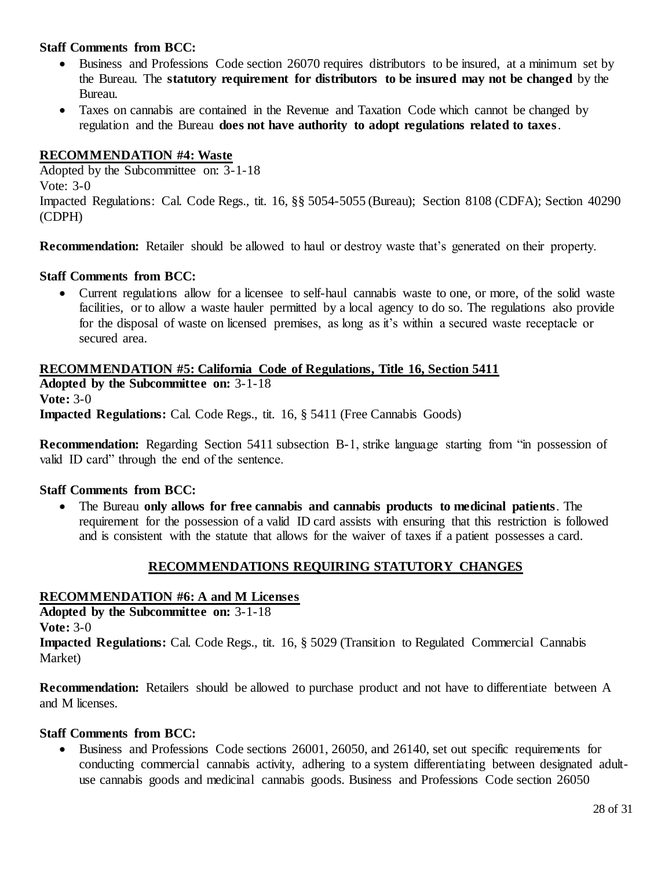- • Business and Professions Code section 26070 requires distributors to be insured, at a minimum set by the Bureau. The **statutory requirement for distributors to be insured may not be changed** by the Bureau.
- • Taxes on cannabis are contained in the Revenue and Taxation Code which cannot be changed by regulation and the Bureau **does not have authority to adopt regulations related to taxes**.

# **RECOMMENDATION #4: Waste**

 Adopted by the Subcommittee on: 3-1-18 Impacted Regulations: Cal. Code Regs., tit. 16, §§ 5054-5055 (Bureau); Section 8108 (CDFA); Section 40290 Vote: 3-0 (CDPH)

**Recommendation:** Retailer should be allowed to haul or destroy waste that's generated on their property.

# **Staff Comments from BCC:**

 • Current regulations allow for a licensee to self-haul cannabis waste to one, or more, of the solid waste facilities, or to allow a waste hauler permitted by a local agency to do so. The regulations also provide for the disposal of waste on licensed premises, as long as it's within a secured waste receptacle or secured area.

 **RECOMMENDATION #5: California Code of Regulations, Title 16, Section 5411 Adopted by the Subcommittee on:** 3-1-18 **Vote:** 3-0 **Impacted Regulations:** Cal. Code Regs., tit. 16, § 5411 (Free Cannabis Goods)

 **Recommendation:** Regarding Section 5411 subsection B-1, strike language starting from "in possession of valid ID card" through the end of the sentence.

### **Staff Comments from BCC:**

 • The Bureau **only allows for free cannabis and cannabis products to medicinal patients**. The requirement for the possession of a valid ID card assists with ensuring that this restriction is followed and is consistent with the statute that allows for the waiver of taxes if a patient possesses a card.

# **RECOMMENDATIONS REQUIRING STATUTORY CHANGES**

# **RECOMMENDATION #6: A and M Licenses**

 **Adopted by the Subcommittee on:** 3-1-18 **Vote:** 3-0

 **Impacted Regulations:** Cal. Code Regs., tit. 16, § 5029 (Transition to Regulated Commercial Cannabis Market)

 **Recommendation:** Retailers should be allowed to purchase product and not have to differentiate between A and M licenses.

### **Staff Comments from BCC:**

 • Business and Professions Code sections 26001, 26050, and 26140, set out specific requirements for conducting commercial cannabis activity, adhering to a system differentiating between designated adult-use cannabis goods and medicinal cannabis goods. Business and Professions Code section 26050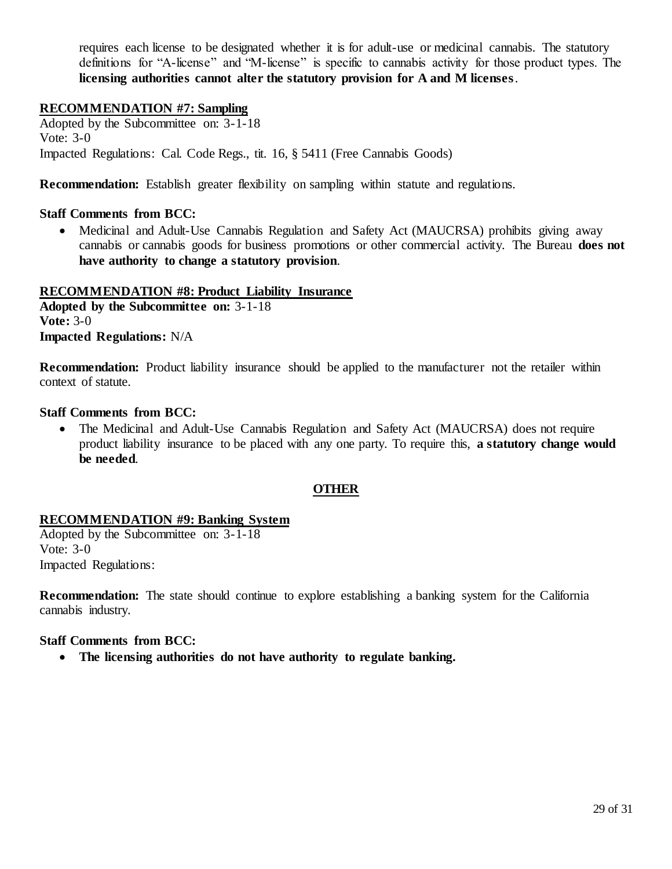requires each license to be designated whether it is for adult-use or medicinal cannabis. The statutory definitions for "A-license" and "M-license" is specific to cannabis activity for those product types. The  **licensing authorities cannot alter the statutory provision for A and M licenses**.

### **RECOMMENDATION #7: Sampling**

 Adopted by the Subcommittee on: 3-1-18 Impacted Regulations: Cal. Code Regs., tit. 16, § 5411 (Free Cannabis Goods) Vote: 3-0

**Recommendation:** Establish greater flexibility on sampling within statute and regulations.

#### **Staff Comments from BCC:**

 • Medicinal and Adult-Use Cannabis Regulation and Safety Act (MAUCRSA) prohibits giving away cannabis or cannabis goods for business promotions or other commercial activity. The Bureau **does not have authority to change a statutory provision**.

**RECOMMENDATION #8: Product Liability Insurance Adopted by the Subcommittee on:** 3-1-18 **Vote:** 3-0 **Impacted Regulations:** N/A

 **Recommendation:** Product liability insurance should be applied to the manufacturer not the retailer within context of statute.

#### **Staff Comments from BCC:**

 • The Medicinal and Adult-Use Cannabis Regulation and Safety Act (MAUCRSA) does not require product liability insurance to be placed with any one party. To require this, **a statutory change would be needed**.

### **OTHER**

### **RECOMMENDATION #9: Banking System**

 Adopted by the Subcommittee on: 3-1-18 Vote: 3-0 Impacted Regulations:

 **Recommendation:** The state should continue to explore establishing a banking system for the California cannabis industry.

#### **Staff Comments from BCC:**

• The licensing authorities do not have authority to regulate banking.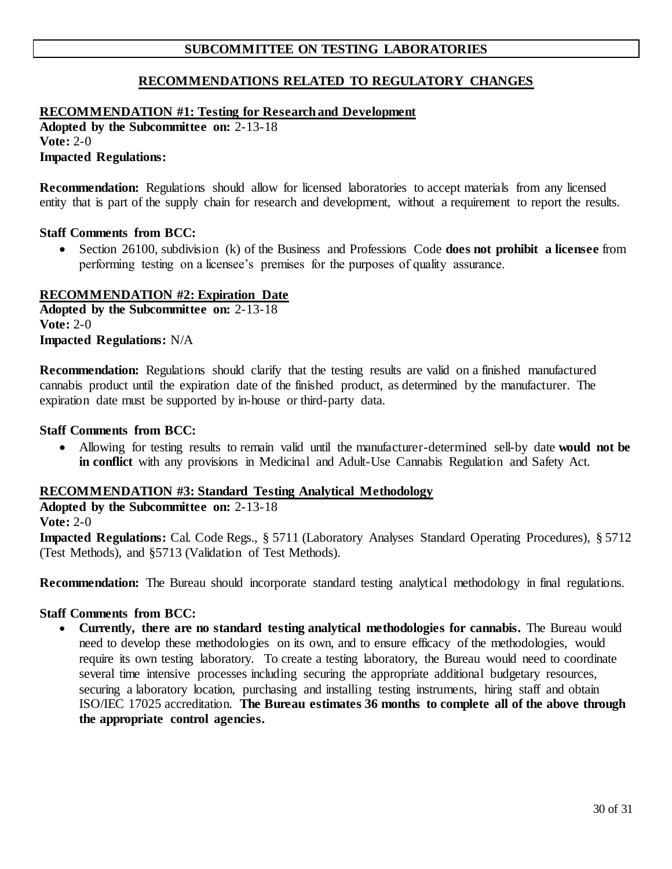# **SUBCOMMITTEE ON TESTING LABORATORIES**

# **RECOMMENDATIONS RELATED TO REGULATORY CHANGES**

#### **RECOMMENDATION #1: Testing for Research and Development**

**Adopted by the Subcommittee on:** 2-13-18 **Vote:** 2-0 **Impacted Regulations:** 

 **Recommendation:** Regulations should allow for licensed laboratories to accept materials from any licensed entity that is part of the supply chain for research and development, without a requirement to report the results.

#### **Staff Comments from BCC:**

 • Section 26100, subdivision (k) of the Business and Professions Code **does not prohibit a licensee** from performing testing on a licensee's premises for the purposes of quality assurance.

#### **RECOMMENDATION #2: Expiration Date**

**Adopted by the Subcommittee on:** 2-13-18 **Vote:** 2-0 **Impacted Regulations:** N/A

 **Recommendation:** Regulations should clarify that the testing results are valid on a finished manufactured cannabis product until the expiration date of the finished product, as determined by the manufacturer. The expiration date must be supported by in-house or third-party data.

#### **Staff Comments from BCC:**

 • Allowing for testing results to remain valid until the manufacturer-determined sell-by date **would not be in conflict** with any provisions in Medicinal and Adult-Use Cannabis Regulation and Safety Act.

#### **RECOMMENDATION #3: Standard Testing Analytical Methodology**

# **Adopted by the Subcommittee on:** 2-13-18

**Vote:** 2-0

 (Test Methods), and §5713 (Validation of Test Methods). **Impacted Regulations:** Cal. Code Regs., § 5711 (Laboratory Analyses Standard Operating Procedures), § 5712

**Recommendation:** The Bureau should incorporate standard testing analytical methodology in final regulations.

### **Staff Comments from BCC:**

 • **Currently, there are no standard testing analytical methodologies for cannabis.** The Bureau would need to develop these methodologies on its own, and to ensure efficacy of the methodologies, would require its own testing laboratory. To create a testing laboratory, the Bureau would need to coordinate several time intensive processes including securing the appropriate additional budgetary resources, securing a laboratory location, purchasing and installing testing instruments, hiring staff and obtain  ISO/IEC 17025 accreditation. **The Bureau estimates 36 months to complete all of the above through the appropriate control agencies.**